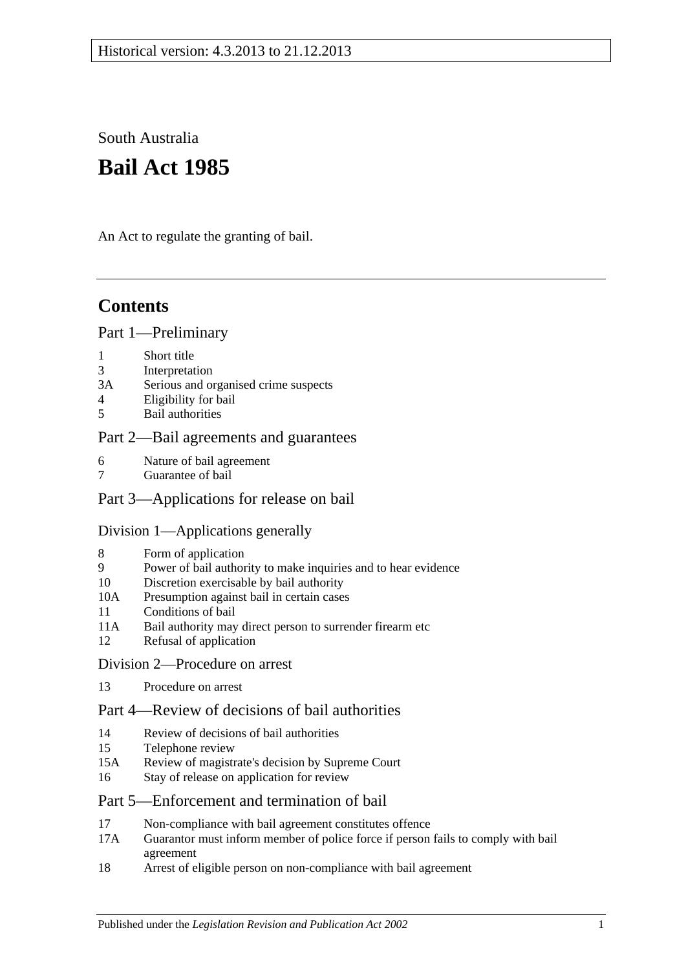South Australia

# **Bail Act 1985**

An Act to regulate the granting of bail.

## **Contents**

### [Part 1—Preliminary](#page-1-0)

- 1 [Short title](#page-1-1)
- 3 [Interpretation](#page-1-2)
- 3A [Serious and organised crime suspects](#page-2-0)
- 4 [Eligibility for bail](#page-3-0)
- 5 [Bail authorities](#page-4-0)

## [Part 2—Bail agreements and guarantees](#page-4-1)

- 6 [Nature of bail agreement](#page-4-2)
- 7 [Guarantee of bail](#page-6-0)

## [Part 3—Applications for release on bail](#page-6-1)

## [Division 1—Applications generally](#page-6-2)

- 8 [Form of application](#page-6-3)
- 9 [Power of bail authority to make inquiries and to hear evidence](#page-7-0)
- 10 [Discretion exercisable by bail authority](#page-7-1)
- 10A [Presumption against bail in certain cases](#page-8-0)
- 11 [Conditions of bail](#page-9-0)
- 11A [Bail authority may direct person to surrender firearm etc](#page-13-0)
- 12 [Refusal of application](#page-13-1)
- [Division 2—Procedure on arrest](#page-13-2)
- 13 [Procedure on arrest](#page-13-3)

## [Part 4—Review of decisions of bail authorities](#page-14-0)

- 14 [Review of decisions of bail authorities](#page-14-1)
- 15 [Telephone review](#page-15-0)
- 15A [Review of magistrate's decision by Supreme Court](#page-16-0)
- 16 [Stay of release on application for review](#page-16-1)

## [Part 5—Enforcement and termination of bail](#page-16-2)

- 17 [Non-compliance with bail agreement constitutes offence](#page-16-3)
- 17A [Guarantor must inform member of police force if person fails to comply with bail](#page-17-0)  [agreement](#page-17-0)
- 18 [Arrest of eligible person on non-compliance with bail agreement](#page-17-1)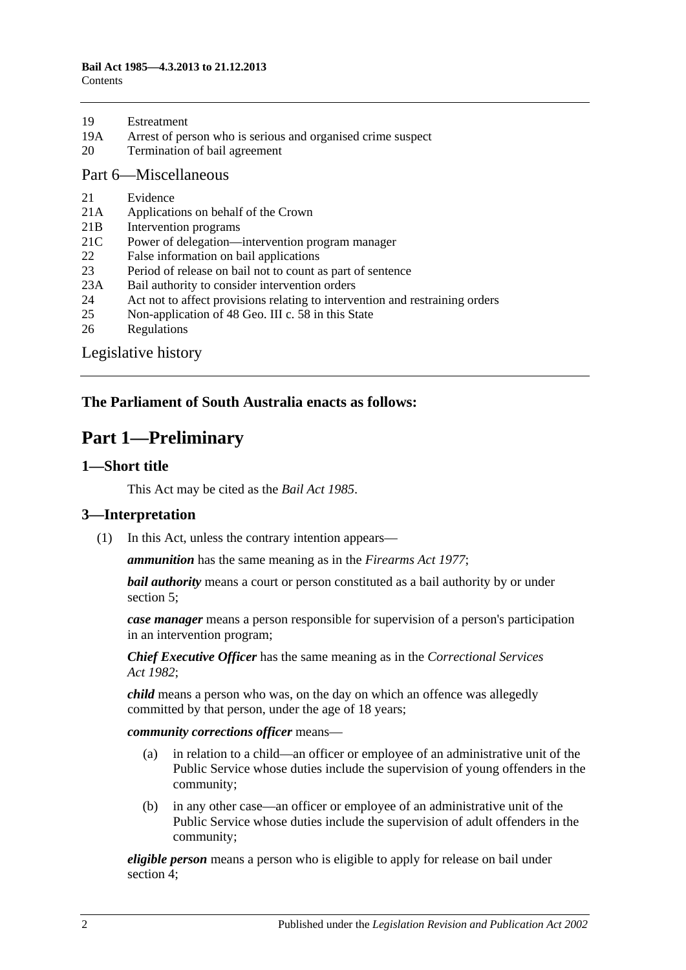| 19 | Estreatment |
|----|-------------|
|    |             |

- 19A [Arrest of person who is serious and organised crime suspect](#page-18-0)
- 20 [Termination of bail agreement](#page-18-1)

#### [Part 6—Miscellaneous](#page-18-2)

- 21 [Evidence](#page-18-3)
- 21A [Applications on behalf of the Crown](#page-18-4)
- 21B [Intervention programs](#page-19-0)
- 21C [Power of delegation—intervention program manager](#page-20-0)
- 22 [False information on bail applications](#page-20-1)
- 23 [Period of release on bail not to count as part of sentence](#page-20-2)
- 23A [Bail authority to consider intervention orders](#page-20-3)
- 24 [Act not to affect provisions relating to intervention and restraining orders](#page-21-0)
- 25 [Non-application of 48 Geo. III c. 58 in this State](#page-21-1)
- 26 [Regulations](#page-21-2)

[Legislative history](#page-22-0)

## <span id="page-1-0"></span>**The Parliament of South Australia enacts as follows:**

## **Part 1—Preliminary**

#### <span id="page-1-1"></span>**1—Short title**

This Act may be cited as the *Bail Act 1985*.

### <span id="page-1-2"></span>**3—Interpretation**

(1) In this Act, unless the contrary intention appears—

*ammunition* has the same meaning as in the *[Firearms Act](http://www.legislation.sa.gov.au/index.aspx?action=legref&type=act&legtitle=Firearms%20Act%201977) 1977*;

*bail authority* means a court or person constituted as a bail authority by or under [section](#page-4-0) 5;

*case manager* means a person responsible for supervision of a person's participation in an intervention program;

*Chief Executive Officer* has the same meaning as in the *[Correctional Services](http://www.legislation.sa.gov.au/index.aspx?action=legref&type=act&legtitle=Correctional%20Services%20Act%201982)  Act [1982](http://www.legislation.sa.gov.au/index.aspx?action=legref&type=act&legtitle=Correctional%20Services%20Act%201982)*;

*child* means a person who was, on the day on which an offence was allegedly committed by that person, under the age of 18 years;

*community corrections officer* means—

- (a) in relation to a child—an officer or employee of an administrative unit of the Public Service whose duties include the supervision of young offenders in the community;
- (b) in any other case—an officer or employee of an administrative unit of the Public Service whose duties include the supervision of adult offenders in the community;

*eligible person* means a person who is eligible to apply for release on bail under [section](#page-3-0) 4;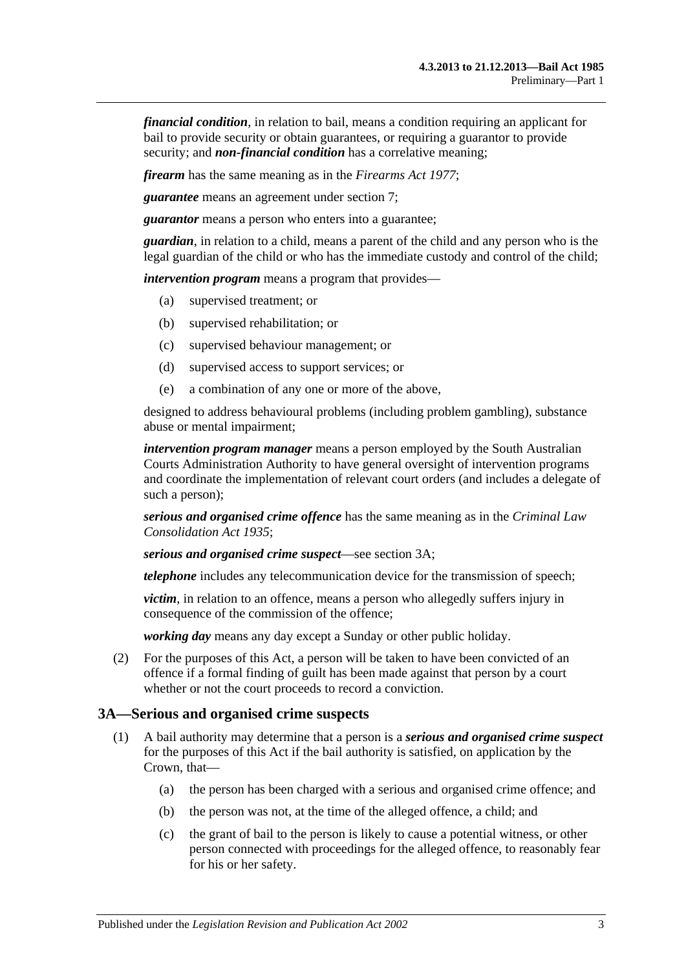*financial condition*, in relation to bail, means a condition requiring an applicant for bail to provide security or obtain guarantees, or requiring a guarantor to provide security; and *non-financial condition* has a correlative meaning;

*firearm* has the same meaning as in the *[Firearms Act](http://www.legislation.sa.gov.au/index.aspx?action=legref&type=act&legtitle=Firearms%20Act%201977) 1977*;

*guarantee* means an agreement under [section](#page-6-0) 7;

*guarantor* means a person who enters into a guarantee;

*guardian*, in relation to a child, means a parent of the child and any person who is the legal guardian of the child or who has the immediate custody and control of the child;

*intervention program* means a program that provides—

- (a) supervised treatment; or
- (b) supervised rehabilitation; or
- (c) supervised behaviour management; or
- (d) supervised access to support services; or
- (e) a combination of any one or more of the above,

designed to address behavioural problems (including problem gambling), substance abuse or mental impairment;

*intervention program manager* means a person employed by the South Australian Courts Administration Authority to have general oversight of intervention programs and coordinate the implementation of relevant court orders (and includes a delegate of such a person);

*serious and organised crime offence* has the same meaning as in the *[Criminal Law](http://www.legislation.sa.gov.au/index.aspx?action=legref&type=act&legtitle=Criminal%20Law%20Consolidation%20Act%201935)  [Consolidation Act](http://www.legislation.sa.gov.au/index.aspx?action=legref&type=act&legtitle=Criminal%20Law%20Consolidation%20Act%201935) 1935*;

*serious and organised crime suspect*—see [section](#page-2-0) 3A;

*telephone* includes any telecommunication device for the transmission of speech;

*victim*, in relation to an offence, means a person who allegedly suffers injury in consequence of the commission of the offence;

*working day* means any day except a Sunday or other public holiday.

(2) For the purposes of this Act, a person will be taken to have been convicted of an offence if a formal finding of guilt has been made against that person by a court whether or not the court proceeds to record a conviction.

#### <span id="page-2-0"></span>**3A—Serious and organised crime suspects**

- <span id="page-2-3"></span><span id="page-2-2"></span><span id="page-2-1"></span>(1) A bail authority may determine that a person is a *serious and organised crime suspect* for the purposes of this Act if the bail authority is satisfied, on application by the Crown, that—
	- (a) the person has been charged with a serious and organised crime offence; and
	- (b) the person was not, at the time of the alleged offence, a child; and
	- (c) the grant of bail to the person is likely to cause a potential witness, or other person connected with proceedings for the alleged offence, to reasonably fear for his or her safety.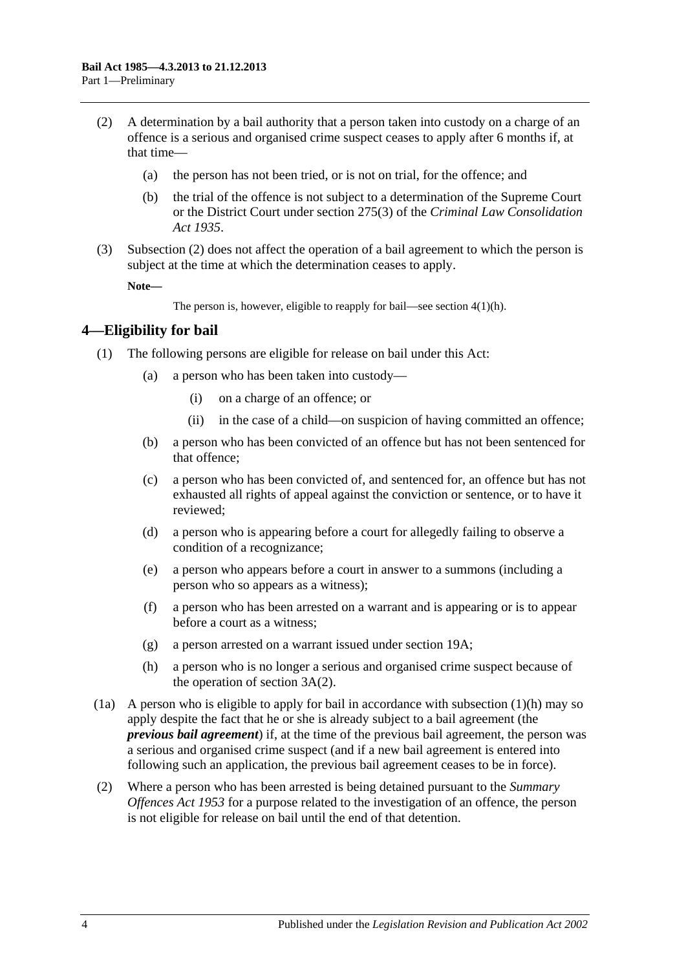- <span id="page-3-1"></span>(2) A determination by a bail authority that a person taken into custody on a charge of an offence is a serious and organised crime suspect ceases to apply after 6 months if, at that time—
	- (a) the person has not been tried, or is not on trial, for the offence; and
	- (b) the trial of the offence is not subject to a determination of the Supreme Court or the District Court under section 275(3) of the *[Criminal Law Consolidation](http://www.legislation.sa.gov.au/index.aspx?action=legref&type=act&legtitle=Criminal%20Law%20Consolidation%20Act%201935)  Act [1935](http://www.legislation.sa.gov.au/index.aspx?action=legref&type=act&legtitle=Criminal%20Law%20Consolidation%20Act%201935)*.
- (3) [Subsection](#page-3-1) (2) does not affect the operation of a bail agreement to which the person is subject at the time at which the determination ceases to apply.

**Note—**

The person is, however, eligible to reapply for bail—see section [4\(1\)\(h\).](#page-3-2)

### <span id="page-3-0"></span>**4—Eligibility for bail**

- (1) The following persons are eligible for release on bail under this Act:
	- (a) a person who has been taken into custody—
		- (i) on a charge of an offence; or
		- (ii) in the case of a child—on suspicion of having committed an offence;
	- (b) a person who has been convicted of an offence but has not been sentenced for that offence;
	- (c) a person who has been convicted of, and sentenced for, an offence but has not exhausted all rights of appeal against the conviction or sentence, or to have it reviewed;
	- (d) a person who is appearing before a court for allegedly failing to observe a condition of a recognizance;
	- (e) a person who appears before a court in answer to a summons (including a person who so appears as a witness);
	- (f) a person who has been arrested on a warrant and is appearing or is to appear before a court as a witness;
	- (g) a person arrested on a warrant issued under [section](#page-18-0) 19A;
	- (h) a person who is no longer a serious and organised crime suspect because of the operation of [section](#page-3-1) 3A(2).
- <span id="page-3-2"></span>(1a) A person who is eligible to apply for bail in accordance with [subsection](#page-3-2)  $(1)(h)$  may so apply despite the fact that he or she is already subject to a bail agreement (the *previous bail agreement*) if, at the time of the previous bail agreement, the person was a serious and organised crime suspect (and if a new bail agreement is entered into following such an application, the previous bail agreement ceases to be in force).
- (2) Where a person who has been arrested is being detained pursuant to the *[Summary](http://www.legislation.sa.gov.au/index.aspx?action=legref&type=act&legtitle=Summary%20Offences%20Act%201953)  [Offences Act](http://www.legislation.sa.gov.au/index.aspx?action=legref&type=act&legtitle=Summary%20Offences%20Act%201953) 1953* for a purpose related to the investigation of an offence, the person is not eligible for release on bail until the end of that detention.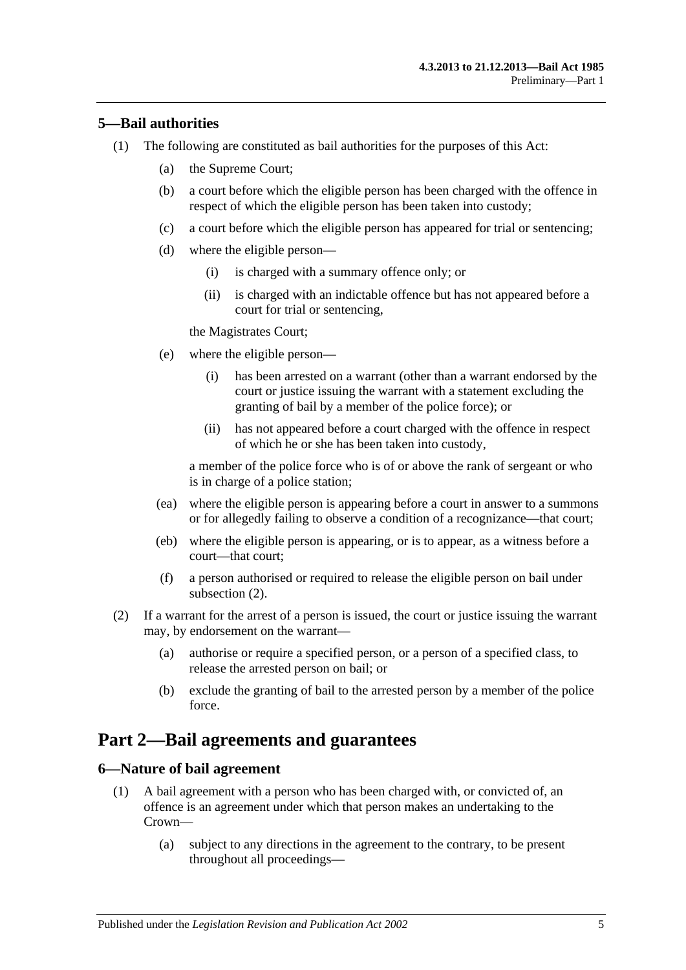### <span id="page-4-0"></span>**5—Bail authorities**

- (1) The following are constituted as bail authorities for the purposes of this Act:
	- (a) the Supreme Court;
	- (b) a court before which the eligible person has been charged with the offence in respect of which the eligible person has been taken into custody;
	- (c) a court before which the eligible person has appeared for trial or sentencing;
	- (d) where the eligible person—
		- (i) is charged with a summary offence only; or
		- (ii) is charged with an indictable offence but has not appeared before a court for trial or sentencing,

the Magistrates Court;

- (e) where the eligible person—
	- (i) has been arrested on a warrant (other than a warrant endorsed by the court or justice issuing the warrant with a statement excluding the granting of bail by a member of the police force); or
	- (ii) has not appeared before a court charged with the offence in respect of which he or she has been taken into custody,

a member of the police force who is of or above the rank of sergeant or who is in charge of a police station;

- (ea) where the eligible person is appearing before a court in answer to a summons or for allegedly failing to observe a condition of a recognizance—that court;
- (eb) where the eligible person is appearing, or is to appear, as a witness before a court—that court;
- (f) a person authorised or required to release the eligible person on bail under [subsection](#page-4-3) (2).
- <span id="page-4-3"></span>(2) If a warrant for the arrest of a person is issued, the court or justice issuing the warrant may, by endorsement on the warrant—
	- (a) authorise or require a specified person, or a person of a specified class, to release the arrested person on bail; or
	- (b) exclude the granting of bail to the arrested person by a member of the police force.

## <span id="page-4-1"></span>**Part 2—Bail agreements and guarantees**

### <span id="page-4-4"></span><span id="page-4-2"></span>**6—Nature of bail agreement**

- (1) A bail agreement with a person who has been charged with, or convicted of, an offence is an agreement under which that person makes an undertaking to the Crown—
	- (a) subject to any directions in the agreement to the contrary, to be present throughout all proceedings—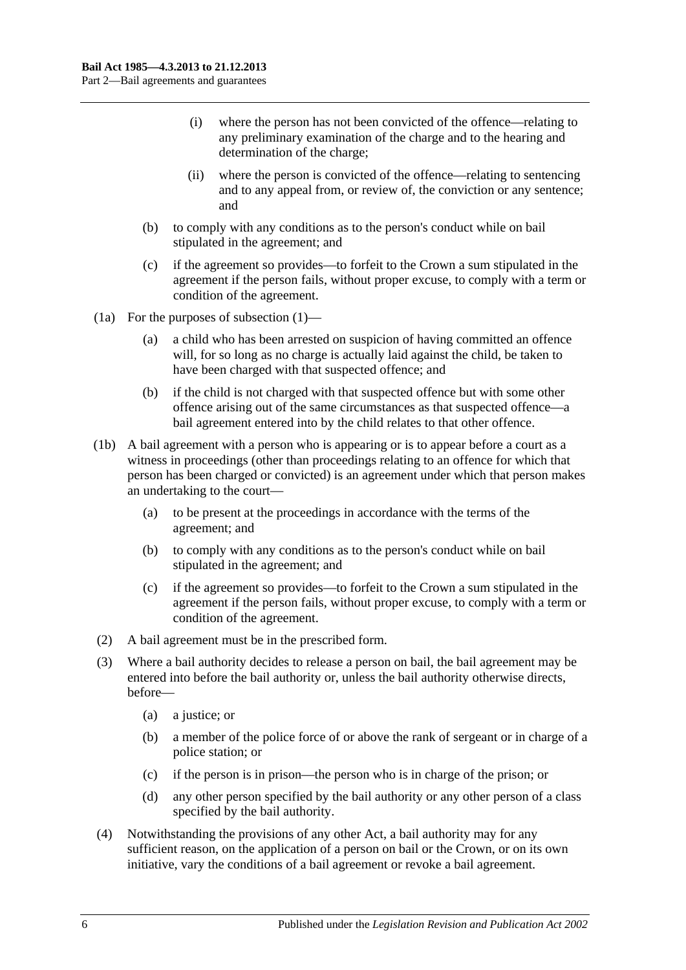- (i) where the person has not been convicted of the offence—relating to any preliminary examination of the charge and to the hearing and determination of the charge;
- (ii) where the person is convicted of the offence—relating to sentencing and to any appeal from, or review of, the conviction or any sentence; and
- (b) to comply with any conditions as to the person's conduct while on bail stipulated in the agreement; and
- (c) if the agreement so provides—to forfeit to the Crown a sum stipulated in the agreement if the person fails, without proper excuse, to comply with a term or condition of the agreement.
- (1a) For the purposes of [subsection](#page-4-4) (1)—
	- (a) a child who has been arrested on suspicion of having committed an offence will, for so long as no charge is actually laid against the child, be taken to have been charged with that suspected offence; and
	- (b) if the child is not charged with that suspected offence but with some other offence arising out of the same circumstances as that suspected offence—a bail agreement entered into by the child relates to that other offence.
- (1b) A bail agreement with a person who is appearing or is to appear before a court as a witness in proceedings (other than proceedings relating to an offence for which that person has been charged or convicted) is an agreement under which that person makes an undertaking to the court—
	- (a) to be present at the proceedings in accordance with the terms of the agreement; and
	- (b) to comply with any conditions as to the person's conduct while on bail stipulated in the agreement; and
	- (c) if the agreement so provides—to forfeit to the Crown a sum stipulated in the agreement if the person fails, without proper excuse, to comply with a term or condition of the agreement.
- (2) A bail agreement must be in the prescribed form.
- (3) Where a bail authority decides to release a person on bail, the bail agreement may be entered into before the bail authority or, unless the bail authority otherwise directs, before—
	- (a) a justice; or
	- (b) a member of the police force of or above the rank of sergeant or in charge of a police station; or
	- (c) if the person is in prison—the person who is in charge of the prison; or
	- (d) any other person specified by the bail authority or any other person of a class specified by the bail authority.
- (4) Notwithstanding the provisions of any other Act, a bail authority may for any sufficient reason, on the application of a person on bail or the Crown, or on its own initiative, vary the conditions of a bail agreement or revoke a bail agreement.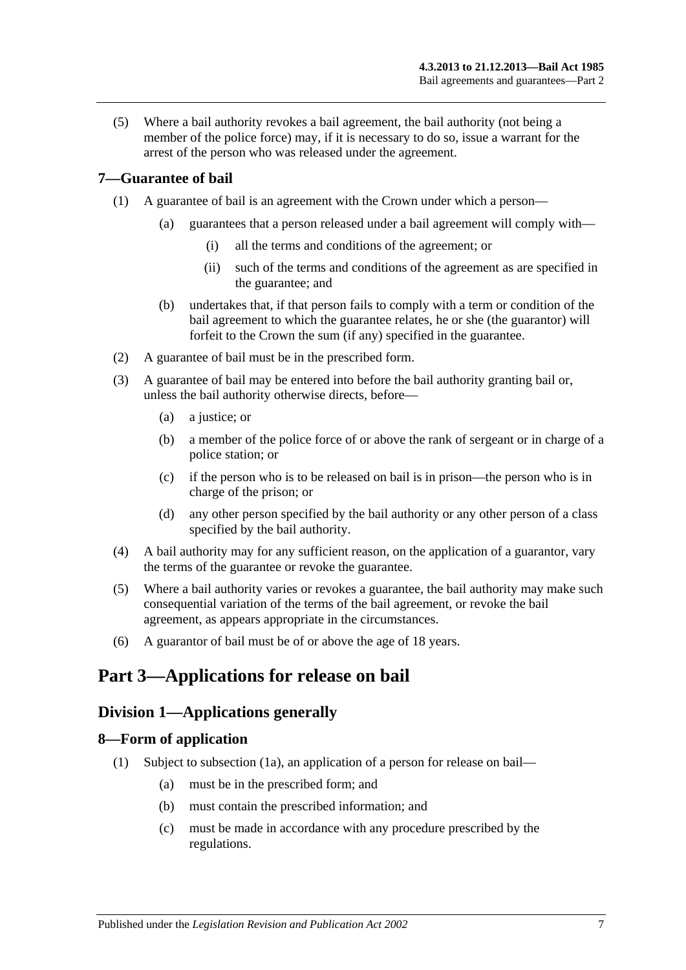(5) Where a bail authority revokes a bail agreement, the bail authority (not being a member of the police force) may, if it is necessary to do so, issue a warrant for the arrest of the person who was released under the agreement.

## <span id="page-6-0"></span>**7—Guarantee of bail**

- (1) A guarantee of bail is an agreement with the Crown under which a person—
	- (a) guarantees that a person released under a bail agreement will comply with—
		- (i) all the terms and conditions of the agreement; or
		- (ii) such of the terms and conditions of the agreement as are specified in the guarantee; and
	- (b) undertakes that, if that person fails to comply with a term or condition of the bail agreement to which the guarantee relates, he or she (the guarantor) will forfeit to the Crown the sum (if any) specified in the guarantee.
- (2) A guarantee of bail must be in the prescribed form.
- (3) A guarantee of bail may be entered into before the bail authority granting bail or, unless the bail authority otherwise directs, before—
	- (a) a justice; or
	- (b) a member of the police force of or above the rank of sergeant or in charge of a police station; or
	- (c) if the person who is to be released on bail is in prison—the person who is in charge of the prison; or
	- (d) any other person specified by the bail authority or any other person of a class specified by the bail authority.
- (4) A bail authority may for any sufficient reason, on the application of a guarantor, vary the terms of the guarantee or revoke the guarantee.
- (5) Where a bail authority varies or revokes a guarantee, the bail authority may make such consequential variation of the terms of the bail agreement, or revoke the bail agreement, as appears appropriate in the circumstances.
- (6) A guarantor of bail must be of or above the age of 18 years.

## <span id="page-6-2"></span><span id="page-6-1"></span>**Part 3—Applications for release on bail**

## **Division 1—Applications generally**

## <span id="page-6-4"></span><span id="page-6-3"></span>**8—Form of application**

- (1) Subject to [subsection](#page-7-2) (1a), an application of a person for release on bail—
	- (a) must be in the prescribed form; and
	- (b) must contain the prescribed information; and
	- (c) must be made in accordance with any procedure prescribed by the regulations.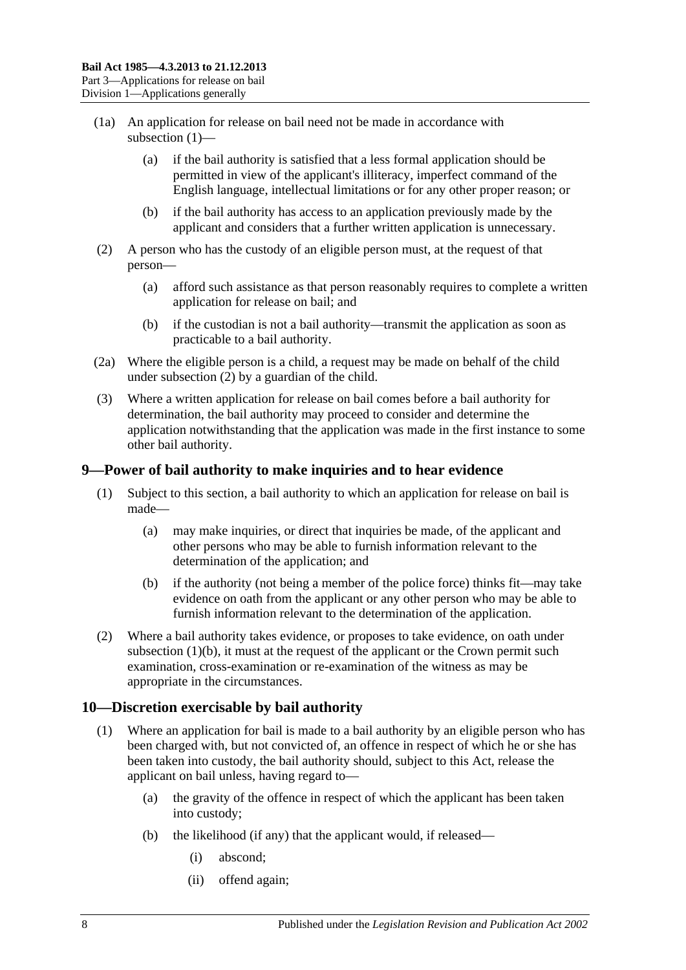- <span id="page-7-2"></span>(1a) An application for release on bail need not be made in accordance with [subsection](#page-6-4) (1)—
	- (a) if the bail authority is satisfied that a less formal application should be permitted in view of the applicant's illiteracy, imperfect command of the English language, intellectual limitations or for any other proper reason; or
	- (b) if the bail authority has access to an application previously made by the applicant and considers that a further written application is unnecessary.
- <span id="page-7-3"></span>(2) A person who has the custody of an eligible person must, at the request of that person—
	- (a) afford such assistance as that person reasonably requires to complete a written application for release on bail; and
	- (b) if the custodian is not a bail authority—transmit the application as soon as practicable to a bail authority.
- (2a) Where the eligible person is a child, a request may be made on behalf of the child under [subsection](#page-7-3) (2) by a guardian of the child.
- (3) Where a written application for release on bail comes before a bail authority for determination, the bail authority may proceed to consider and determine the application notwithstanding that the application was made in the first instance to some other bail authority.

## <span id="page-7-0"></span>**9—Power of bail authority to make inquiries and to hear evidence**

- (1) Subject to this section, a bail authority to which an application for release on bail is made—
	- (a) may make inquiries, or direct that inquiries be made, of the applicant and other persons who may be able to furnish information relevant to the determination of the application; and
	- (b) if the authority (not being a member of the police force) thinks fit—may take evidence on oath from the applicant or any other person who may be able to furnish information relevant to the determination of the application.
- <span id="page-7-4"></span>(2) Where a bail authority takes evidence, or proposes to take evidence, on oath under [subsection](#page-7-4)  $(1)(b)$ , it must at the request of the applicant or the Crown permit such examination, cross-examination or re-examination of the witness as may be appropriate in the circumstances.

## <span id="page-7-1"></span>**10—Discretion exercisable by bail authority**

- (1) Where an application for bail is made to a bail authority by an eligible person who has been charged with, but not convicted of, an offence in respect of which he or she has been taken into custody, the bail authority should, subject to this Act, release the applicant on bail unless, having regard to—
	- (a) the gravity of the offence in respect of which the applicant has been taken into custody;
	- (b) the likelihood (if any) that the applicant would, if released—
		- (i) abscond;
		- (ii) offend again;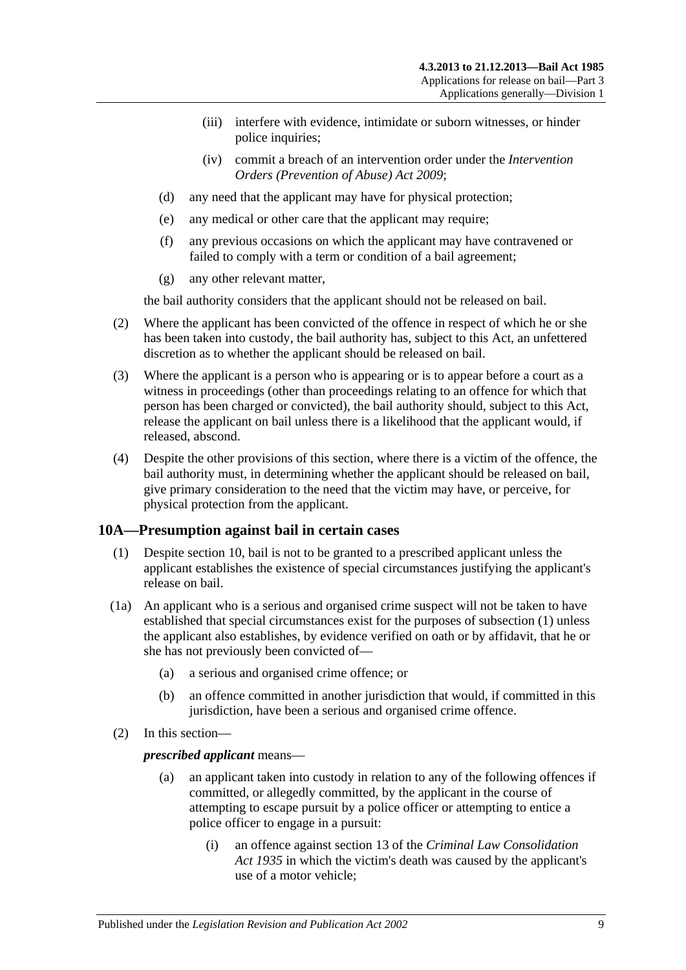- (iii) interfere with evidence, intimidate or suborn witnesses, or hinder police inquiries;
- (iv) commit a breach of an intervention order under the *[Intervention](http://www.legislation.sa.gov.au/index.aspx?action=legref&type=act&legtitle=Intervention%20Orders%20(Prevention%20of%20Abuse)%20Act%202009)  [Orders \(Prevention of Abuse\) Act](http://www.legislation.sa.gov.au/index.aspx?action=legref&type=act&legtitle=Intervention%20Orders%20(Prevention%20of%20Abuse)%20Act%202009) 2009*;
- (d) any need that the applicant may have for physical protection;
- (e) any medical or other care that the applicant may require;
- (f) any previous occasions on which the applicant may have contravened or failed to comply with a term or condition of a bail agreement;
- (g) any other relevant matter,

the bail authority considers that the applicant should not be released on bail.

- (2) Where the applicant has been convicted of the offence in respect of which he or she has been taken into custody, the bail authority has, subject to this Act, an unfettered discretion as to whether the applicant should be released on bail.
- (3) Where the applicant is a person who is appearing or is to appear before a court as a witness in proceedings (other than proceedings relating to an offence for which that person has been charged or convicted), the bail authority should, subject to this Act, release the applicant on bail unless there is a likelihood that the applicant would, if released, abscond.
- (4) Despite the other provisions of this section, where there is a victim of the offence, the bail authority must, in determining whether the applicant should be released on bail, give primary consideration to the need that the victim may have, or perceive, for physical protection from the applicant.

### <span id="page-8-1"></span><span id="page-8-0"></span>**10A—Presumption against bail in certain cases**

- (1) Despite [section](#page-7-1) 10, bail is not to be granted to a prescribed applicant unless the applicant establishes the existence of special circumstances justifying the applicant's release on bail.
- (1a) An applicant who is a serious and organised crime suspect will not be taken to have established that special circumstances exist for the purposes of [subsection](#page-8-1) (1) unless the applicant also establishes, by evidence verified on oath or by affidavit, that he or she has not previously been convicted of—
	- (a) a serious and organised crime offence; or
	- (b) an offence committed in another jurisdiction that would, if committed in this jurisdiction, have been a serious and organised crime offence.
- (2) In this section—

#### *prescribed applicant* means—

- (a) an applicant taken into custody in relation to any of the following offences if committed, or allegedly committed, by the applicant in the course of attempting to escape pursuit by a police officer or attempting to entice a police officer to engage in a pursuit:
	- (i) an offence against section 13 of the *[Criminal Law Consolidation](http://www.legislation.sa.gov.au/index.aspx?action=legref&type=act&legtitle=Criminal%20Law%20Consolidation%20Act%201935)  Act [1935](http://www.legislation.sa.gov.au/index.aspx?action=legref&type=act&legtitle=Criminal%20Law%20Consolidation%20Act%201935)* in which the victim's death was caused by the applicant's use of a motor vehicle;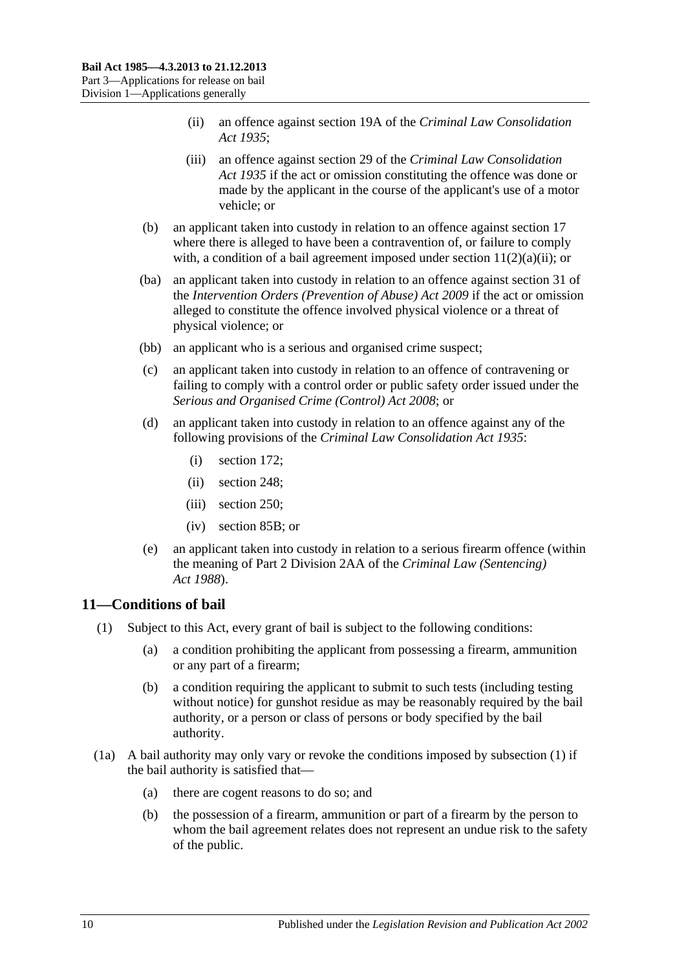- (ii) an offence against section 19A of the *[Criminal Law Consolidation](http://www.legislation.sa.gov.au/index.aspx?action=legref&type=act&legtitle=Criminal%20Law%20Consolidation%20Act%201935)  Act [1935](http://www.legislation.sa.gov.au/index.aspx?action=legref&type=act&legtitle=Criminal%20Law%20Consolidation%20Act%201935)*;
- (iii) an offence against section 29 of the *[Criminal Law Consolidation](http://www.legislation.sa.gov.au/index.aspx?action=legref&type=act&legtitle=Criminal%20Law%20Consolidation%20Act%201935)  Act [1935](http://www.legislation.sa.gov.au/index.aspx?action=legref&type=act&legtitle=Criminal%20Law%20Consolidation%20Act%201935)* if the act or omission constituting the offence was done or made by the applicant in the course of the applicant's use of a motor vehicle; or
- (b) an applicant taken into custody in relation to an offence against [section](#page-16-3) 17 where there is alleged to have been a contravention of, or failure to comply with, a condition of a bail agreement imposed under section  $11(2)(a)(ii)$ ; or
- (ba) an applicant taken into custody in relation to an offence against section 31 of the *[Intervention Orders \(Prevention of Abuse\) Act](http://www.legislation.sa.gov.au/index.aspx?action=legref&type=act&legtitle=Intervention%20Orders%20(Prevention%20of%20Abuse)%20Act%202009) 2009* if the act or omission alleged to constitute the offence involved physical violence or a threat of physical violence; or
- (bb) an applicant who is a serious and organised crime suspect;
- (c) an applicant taken into custody in relation to an offence of contravening or failing to comply with a control order or public safety order issued under the *[Serious and Organised Crime \(Control\) Act](http://www.legislation.sa.gov.au/index.aspx?action=legref&type=act&legtitle=Serious%20and%20Organised%20Crime%20(Control)%20Act%202008) 2008*; or
- (d) an applicant taken into custody in relation to an offence against any of the following provisions of the *[Criminal Law Consolidation Act](http://www.legislation.sa.gov.au/index.aspx?action=legref&type=act&legtitle=Criminal%20Law%20Consolidation%20Act%201935) 1935*:
	- (i) section 172;
	- (ii) section 248;
	- (iii) section 250;
	- (iv) section 85B; or
- (e) an applicant taken into custody in relation to a serious firearm offence (within the meaning of Part 2 Division 2AA of the *[Criminal Law \(Sentencing\)](http://www.legislation.sa.gov.au/index.aspx?action=legref&type=act&legtitle=Criminal%20Law%20(Sentencing)%20Act%201988)  Act [1988](http://www.legislation.sa.gov.au/index.aspx?action=legref&type=act&legtitle=Criminal%20Law%20(Sentencing)%20Act%201988)*).

## <span id="page-9-1"></span><span id="page-9-0"></span>**11—Conditions of bail**

- <span id="page-9-3"></span>(1) Subject to this Act, every grant of bail is subject to the following conditions:
	- (a) a condition prohibiting the applicant from possessing a firearm, ammunition or any part of a firearm;
	- (b) a condition requiring the applicant to submit to such tests (including testing without notice) for gunshot residue as may be reasonably required by the bail authority, or a person or class of persons or body specified by the bail authority.
- <span id="page-9-2"></span>(1a) A bail authority may only vary or revoke the conditions imposed by [subsection](#page-9-1) (1) if the bail authority is satisfied that—
	- (a) there are cogent reasons to do so; and
	- (b) the possession of a firearm, ammunition or part of a firearm by the person to whom the bail agreement relates does not represent an undue risk to the safety of the public.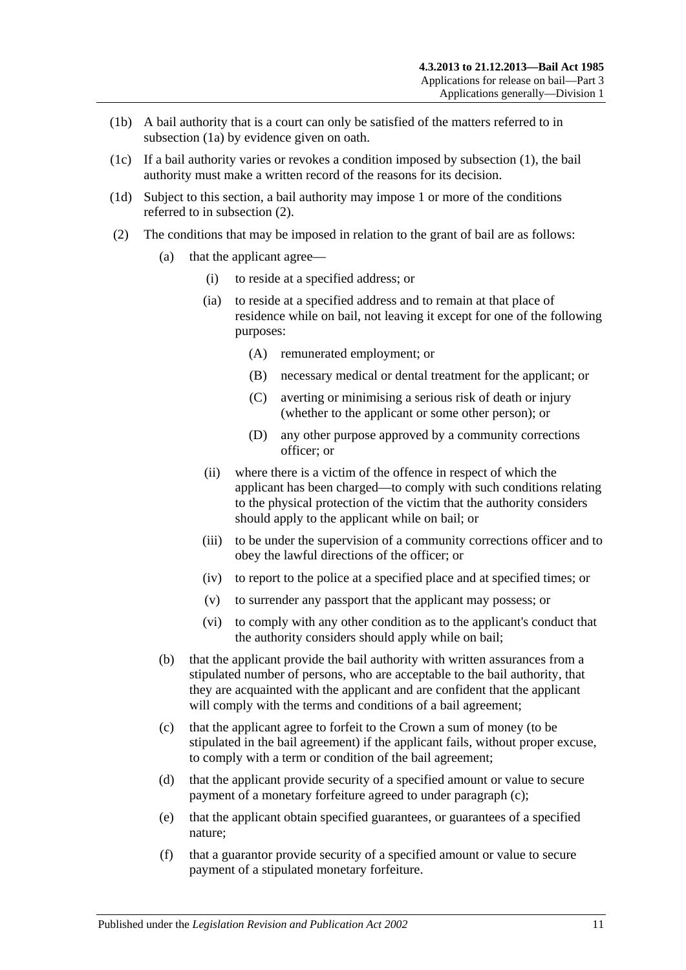- (1b) A bail authority that is a court can only be satisfied of the matters referred to in [subsection](#page-9-2) (1a) by evidence given on oath.
- (1c) If a bail authority varies or revokes a condition imposed by [subsection](#page-9-1) (1), the bail authority must make a written record of the reasons for its decision.
- (1d) Subject to this section, a bail authority may impose 1 or more of the conditions referred to in [subsection](#page-10-1) (2).
- <span id="page-10-4"></span><span id="page-10-3"></span><span id="page-10-2"></span><span id="page-10-1"></span><span id="page-10-0"></span>(2) The conditions that may be imposed in relation to the grant of bail are as follows:
	- (a) that the applicant agree—
		- (i) to reside at a specified address; or
		- (ia) to reside at a specified address and to remain at that place of residence while on bail, not leaving it except for one of the following purposes:
			- (A) remunerated employment; or
			- (B) necessary medical or dental treatment for the applicant; or
			- (C) averting or minimising a serious risk of death or injury (whether to the applicant or some other person); or
			- (D) any other purpose approved by a community corrections officer; or
		- (ii) where there is a victim of the offence in respect of which the applicant has been charged—to comply with such conditions relating to the physical protection of the victim that the authority considers should apply to the applicant while on bail; or
		- (iii) to be under the supervision of a community corrections officer and to obey the lawful directions of the officer; or
		- (iv) to report to the police at a specified place and at specified times; or
		- (v) to surrender any passport that the applicant may possess; or
		- (vi) to comply with any other condition as to the applicant's conduct that the authority considers should apply while on bail;
	- (b) that the applicant provide the bail authority with written assurances from a stipulated number of persons, who are acceptable to the bail authority, that they are acquainted with the applicant and are confident that the applicant will comply with the terms and conditions of a bail agreement;
	- (c) that the applicant agree to forfeit to the Crown a sum of money (to be stipulated in the bail agreement) if the applicant fails, without proper excuse, to comply with a term or condition of the bail agreement;
	- (d) that the applicant provide security of a specified amount or value to secure payment of a monetary forfeiture agreed to under [paragraph](#page-10-2) (c);
	- (e) that the applicant obtain specified guarantees, or guarantees of a specified nature;
	- (f) that a guarantor provide security of a specified amount or value to secure payment of a stipulated monetary forfeiture.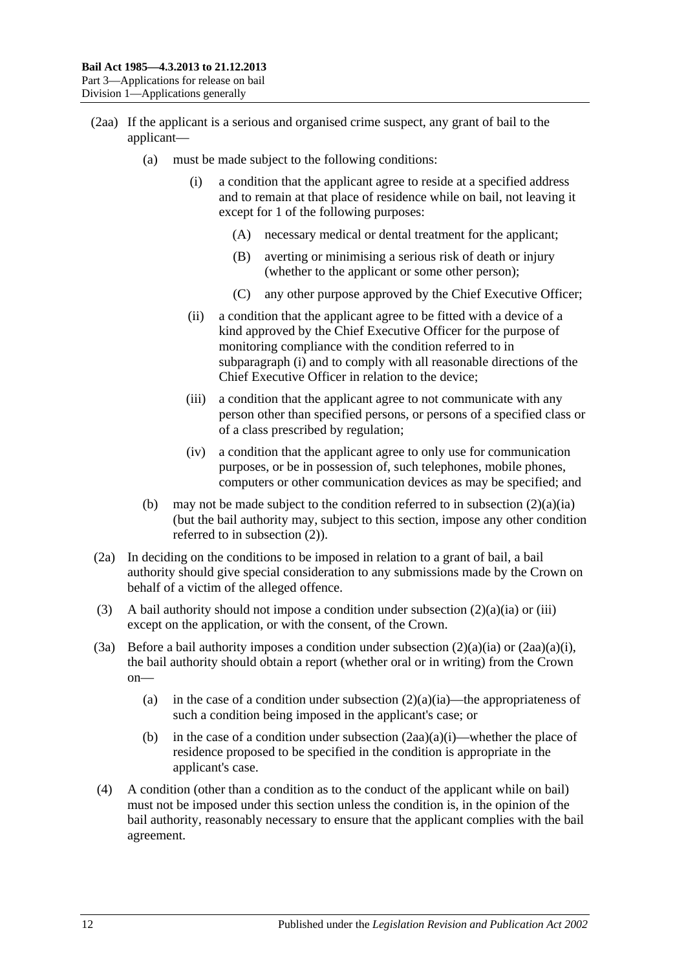- <span id="page-11-0"></span>(2aa) If the applicant is a serious and organised crime suspect, any grant of bail to the applicant—
	- (a) must be made subject to the following conditions:
		- (i) a condition that the applicant agree to reside at a specified address and to remain at that place of residence while on bail, not leaving it except for 1 of the following purposes:
			- (A) necessary medical or dental treatment for the applicant;
			- (B) averting or minimising a serious risk of death or injury (whether to the applicant or some other person);
			- (C) any other purpose approved by the Chief Executive Officer;
		- (ii) a condition that the applicant agree to be fitted with a device of a kind approved by the Chief Executive Officer for the purpose of monitoring compliance with the condition referred to in [subparagraph](#page-11-0) (i) and to comply with all reasonable directions of the Chief Executive Officer in relation to the device;
		- (iii) a condition that the applicant agree to not communicate with any person other than specified persons, or persons of a specified class or of a class prescribed by regulation;
		- (iv) a condition that the applicant agree to only use for communication purposes, or be in possession of, such telephones, mobile phones, computers or other communication devices as may be specified; and
	- (b) may not be made subject to the condition referred to in [subsection](#page-10-3)  $(2)(a)(ia)$ (but the bail authority may, subject to this section, impose any other condition referred to in [subsection](#page-10-1) (2)).
- (2a) In deciding on the conditions to be imposed in relation to a grant of bail, a bail authority should give special consideration to any submissions made by the Crown on behalf of a victim of the alleged offence.
- (3) A bail authority should not impose a condition under [subsection](#page-10-3)  $(2)(a)(ia)$  or [\(iii\)](#page-10-4) except on the application, or with the consent, of the Crown.
- (3a) Before a bail authority imposes a condition under [subsection](#page-10-3)  $(2)(a)(ia)$  or  $(2aa)(a)(i)$ , the bail authority should obtain a report (whether oral or in writing) from the Crown on
	- (a) in the case of a condition under [subsection](#page-10-3)  $(2)(a)(ia)$ —the appropriateness of such a condition being imposed in the applicant's case; or
	- (b) in the case of a condition under [subsection](#page-11-0)  $(2aa)(a)(i)$ —whether the place of residence proposed to be specified in the condition is appropriate in the applicant's case.
- (4) A condition (other than a condition as to the conduct of the applicant while on bail) must not be imposed under this section unless the condition is, in the opinion of the bail authority, reasonably necessary to ensure that the applicant complies with the bail agreement.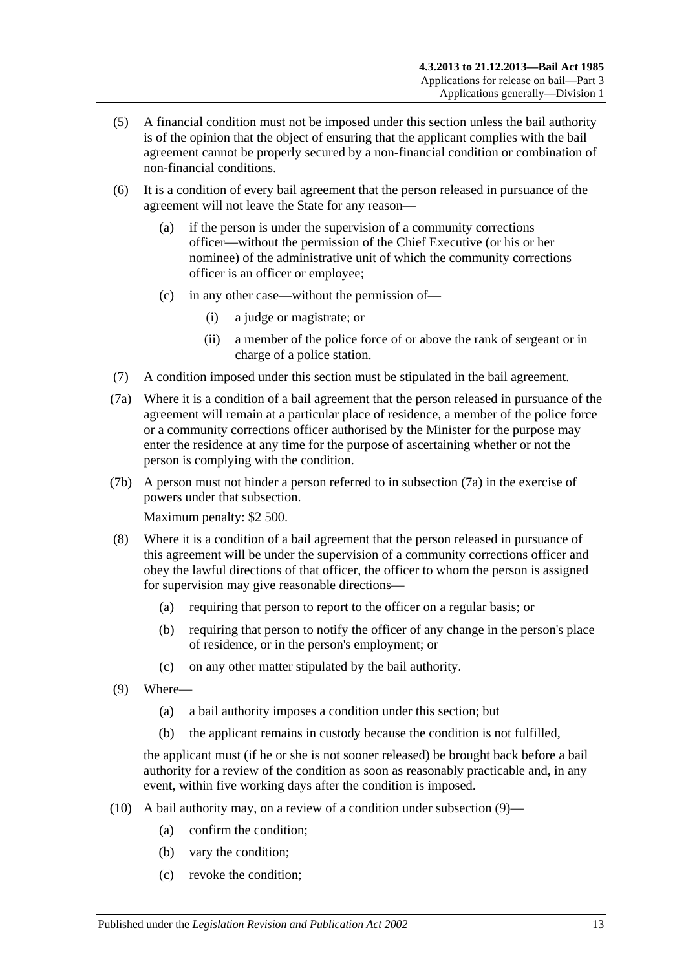- (5) A financial condition must not be imposed under this section unless the bail authority is of the opinion that the object of ensuring that the applicant complies with the bail agreement cannot be properly secured by a non-financial condition or combination of non-financial conditions.
- (6) It is a condition of every bail agreement that the person released in pursuance of the agreement will not leave the State for any reason—
	- (a) if the person is under the supervision of a community corrections officer—without the permission of the Chief Executive (or his or her nominee) of the administrative unit of which the community corrections officer is an officer or employee;
	- (c) in any other case—without the permission of—
		- (i) a judge or magistrate; or
		- (ii) a member of the police force of or above the rank of sergeant or in charge of a police station.
- (7) A condition imposed under this section must be stipulated in the bail agreement.
- <span id="page-12-0"></span>(7a) Where it is a condition of a bail agreement that the person released in pursuance of the agreement will remain at a particular place of residence, a member of the police force or a community corrections officer authorised by the Minister for the purpose may enter the residence at any time for the purpose of ascertaining whether or not the person is complying with the condition.
- (7b) A person must not hinder a person referred to in [subsection](#page-12-0) (7a) in the exercise of powers under that subsection.

Maximum penalty: \$2 500.

- (8) Where it is a condition of a bail agreement that the person released in pursuance of this agreement will be under the supervision of a community corrections officer and obey the lawful directions of that officer, the officer to whom the person is assigned for supervision may give reasonable directions—
	- (a) requiring that person to report to the officer on a regular basis; or
	- (b) requiring that person to notify the officer of any change in the person's place of residence, or in the person's employment; or
	- (c) on any other matter stipulated by the bail authority.
- <span id="page-12-1"></span>(9) Where—
	- (a) a bail authority imposes a condition under this section; but
	- (b) the applicant remains in custody because the condition is not fulfilled,

the applicant must (if he or she is not sooner released) be brought back before a bail authority for a review of the condition as soon as reasonably practicable and, in any event, within five working days after the condition is imposed.

- (10) A bail authority may, on a review of a condition under [subsection](#page-12-1) (9)—
	- (a) confirm the condition;
	- (b) vary the condition;
	- (c) revoke the condition;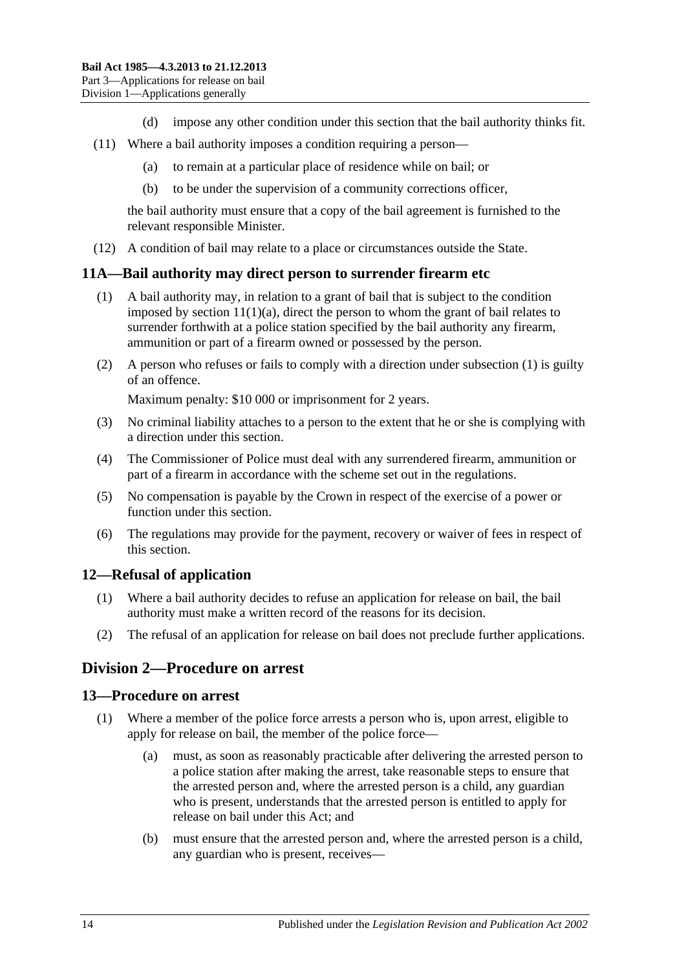- (d) impose any other condition under this section that the bail authority thinks fit.
- (11) Where a bail authority imposes a condition requiring a person—
	- (a) to remain at a particular place of residence while on bail; or
	- (b) to be under the supervision of a community corrections officer,

the bail authority must ensure that a copy of the bail agreement is furnished to the relevant responsible Minister.

(12) A condition of bail may relate to a place or circumstances outside the State.

### <span id="page-13-4"></span><span id="page-13-0"></span>**11A—Bail authority may direct person to surrender firearm etc**

- (1) A bail authority may, in relation to a grant of bail that is subject to the condition imposed by section  $11(1)(a)$ , direct the person to whom the grant of bail relates to surrender forthwith at a police station specified by the bail authority any firearm, ammunition or part of a firearm owned or possessed by the person.
- (2) A person who refuses or fails to comply with a direction under [subsection](#page-13-4) (1) is guilty of an offence.

Maximum penalty: \$10 000 or imprisonment for 2 years.

- (3) No criminal liability attaches to a person to the extent that he or she is complying with a direction under this section.
- (4) The Commissioner of Police must deal with any surrendered firearm, ammunition or part of a firearm in accordance with the scheme set out in the regulations.
- (5) No compensation is payable by the Crown in respect of the exercise of a power or function under this section.
- (6) The regulations may provide for the payment, recovery or waiver of fees in respect of this section.

### <span id="page-13-1"></span>**12—Refusal of application**

- (1) Where a bail authority decides to refuse an application for release on bail, the bail authority must make a written record of the reasons for its decision.
- (2) The refusal of an application for release on bail does not preclude further applications.

## <span id="page-13-2"></span>**Division 2—Procedure on arrest**

### <span id="page-13-3"></span>**13—Procedure on arrest**

- (1) Where a member of the police force arrests a person who is, upon arrest, eligible to apply for release on bail, the member of the police force—
	- (a) must, as soon as reasonably practicable after delivering the arrested person to a police station after making the arrest, take reasonable steps to ensure that the arrested person and, where the arrested person is a child, any guardian who is present, understands that the arrested person is entitled to apply for release on bail under this Act; and
	- (b) must ensure that the arrested person and, where the arrested person is a child, any guardian who is present, receives—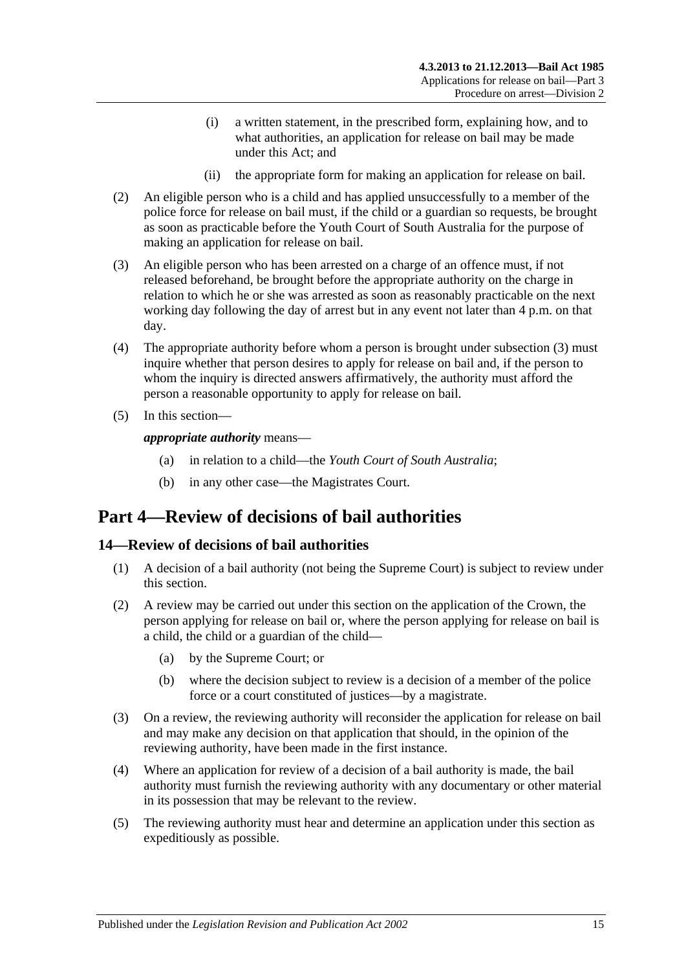- (i) a written statement, in the prescribed form, explaining how, and to what authorities, an application for release on bail may be made under this Act; and
- (ii) the appropriate form for making an application for release on bail.
- (2) An eligible person who is a child and has applied unsuccessfully to a member of the police force for release on bail must, if the child or a guardian so requests, be brought as soon as practicable before the Youth Court of South Australia for the purpose of making an application for release on bail.
- <span id="page-14-2"></span>(3) An eligible person who has been arrested on a charge of an offence must, if not released beforehand, be brought before the appropriate authority on the charge in relation to which he or she was arrested as soon as reasonably practicable on the next working day following the day of arrest but in any event not later than 4 p.m. on that day.
- (4) The appropriate authority before whom a person is brought under [subsection](#page-14-2) (3) must inquire whether that person desires to apply for release on bail and, if the person to whom the inquiry is directed answers affirmatively, the authority must afford the person a reasonable opportunity to apply for release on bail.
- (5) In this section—

*appropriate authority* means—

- (a) in relation to a child—the *Youth Court of South Australia*;
- (b) in any other case—the Magistrates Court.

## <span id="page-14-0"></span>**Part 4—Review of decisions of bail authorities**

## <span id="page-14-1"></span>**14—Review of decisions of bail authorities**

- (1) A decision of a bail authority (not being the Supreme Court) is subject to review under this section.
- (2) A review may be carried out under this section on the application of the Crown, the person applying for release on bail or, where the person applying for release on bail is a child, the child or a guardian of the child—
	- (a) by the Supreme Court; or
	- (b) where the decision subject to review is a decision of a member of the police force or a court constituted of justices—by a magistrate.
- (3) On a review, the reviewing authority will reconsider the application for release on bail and may make any decision on that application that should, in the opinion of the reviewing authority, have been made in the first instance.
- (4) Where an application for review of a decision of a bail authority is made, the bail authority must furnish the reviewing authority with any documentary or other material in its possession that may be relevant to the review.
- (5) The reviewing authority must hear and determine an application under this section as expeditiously as possible.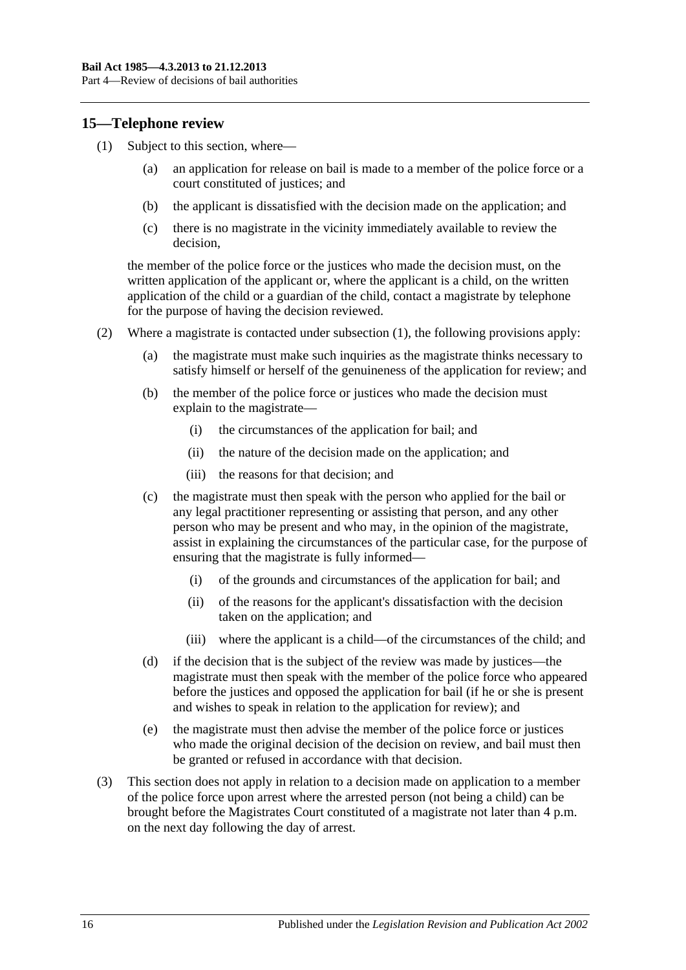### <span id="page-15-1"></span><span id="page-15-0"></span>**15—Telephone review**

- (1) Subject to this section, where—
	- (a) an application for release on bail is made to a member of the police force or a court constituted of justices; and
	- (b) the applicant is dissatisfied with the decision made on the application; and
	- (c) there is no magistrate in the vicinity immediately available to review the decision,

the member of the police force or the justices who made the decision must, on the written application of the applicant or, where the applicant is a child, on the written application of the child or a guardian of the child, contact a magistrate by telephone for the purpose of having the decision reviewed.

- (2) Where a magistrate is contacted under [subsection](#page-15-1) (1), the following provisions apply:
	- (a) the magistrate must make such inquiries as the magistrate thinks necessary to satisfy himself or herself of the genuineness of the application for review; and
	- (b) the member of the police force or justices who made the decision must explain to the magistrate—
		- (i) the circumstances of the application for bail; and
		- (ii) the nature of the decision made on the application; and
		- (iii) the reasons for that decision; and
	- (c) the magistrate must then speak with the person who applied for the bail or any legal practitioner representing or assisting that person, and any other person who may be present and who may, in the opinion of the magistrate, assist in explaining the circumstances of the particular case, for the purpose of ensuring that the magistrate is fully informed—
		- (i) of the grounds and circumstances of the application for bail; and
		- (ii) of the reasons for the applicant's dissatisfaction with the decision taken on the application; and
		- (iii) where the applicant is a child—of the circumstances of the child; and
	- (d) if the decision that is the subject of the review was made by justices—the magistrate must then speak with the member of the police force who appeared before the justices and opposed the application for bail (if he or she is present and wishes to speak in relation to the application for review); and
	- (e) the magistrate must then advise the member of the police force or justices who made the original decision of the decision on review, and bail must then be granted or refused in accordance with that decision.
- (3) This section does not apply in relation to a decision made on application to a member of the police force upon arrest where the arrested person (not being a child) can be brought before the Magistrates Court constituted of a magistrate not later than 4 p.m. on the next day following the day of arrest.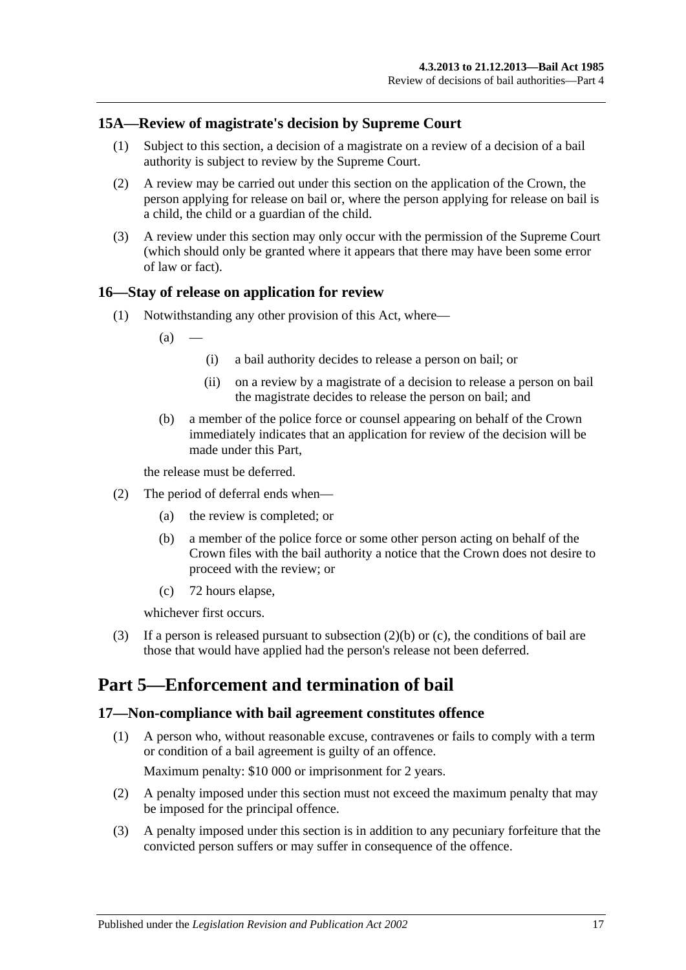## <span id="page-16-0"></span>**15A—Review of magistrate's decision by Supreme Court**

- (1) Subject to this section, a decision of a magistrate on a review of a decision of a bail authority is subject to review by the Supreme Court.
- (2) A review may be carried out under this section on the application of the Crown, the person applying for release on bail or, where the person applying for release on bail is a child, the child or a guardian of the child.
- (3) A review under this section may only occur with the permission of the Supreme Court (which should only be granted where it appears that there may have been some error of law or fact).

## <span id="page-16-1"></span>**16—Stay of release on application for review**

(1) Notwithstanding any other provision of this Act, where—

 $(a)$ 

- (i) a bail authority decides to release a person on bail; or
- (ii) on a review by a magistrate of a decision to release a person on bail the magistrate decides to release the person on bail; and
- (b) a member of the police force or counsel appearing on behalf of the Crown immediately indicates that an application for review of the decision will be made under this Part,

the release must be deferred.

- <span id="page-16-4"></span>(2) The period of deferral ends when—
	- (a) the review is completed; or
	- (b) a member of the police force or some other person acting on behalf of the Crown files with the bail authority a notice that the Crown does not desire to proceed with the review; or
	- (c) 72 hours elapse,

whichever first occurs.

<span id="page-16-5"></span>(3) If a person is released pursuant to [subsection](#page-16-4) (2)(b) or [\(c\),](#page-16-5) the conditions of bail are those that would have applied had the person's release not been deferred.

## <span id="page-16-2"></span>**Part 5—Enforcement and termination of bail**

### <span id="page-16-3"></span>**17—Non-compliance with bail agreement constitutes offence**

- (1) A person who, without reasonable excuse, contravenes or fails to comply with a term or condition of a bail agreement is guilty of an offence. Maximum penalty: \$10 000 or imprisonment for 2 years.
- (2) A penalty imposed under this section must not exceed the maximum penalty that may be imposed for the principal offence.
- (3) A penalty imposed under this section is in addition to any pecuniary forfeiture that the convicted person suffers or may suffer in consequence of the offence.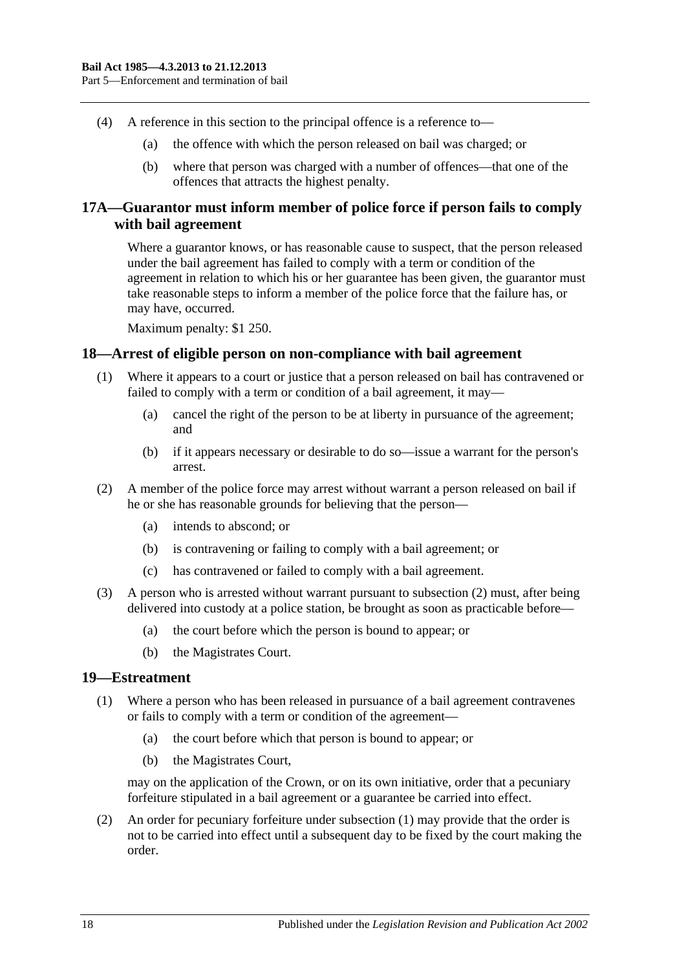- (4) A reference in this section to the principal offence is a reference to—
	- (a) the offence with which the person released on bail was charged; or
	- (b) where that person was charged with a number of offences—that one of the offences that attracts the highest penalty.

## <span id="page-17-0"></span>**17A—Guarantor must inform member of police force if person fails to comply with bail agreement**

Where a guarantor knows, or has reasonable cause to suspect, that the person released under the bail agreement has failed to comply with a term or condition of the agreement in relation to which his or her guarantee has been given, the guarantor must take reasonable steps to inform a member of the police force that the failure has, or may have, occurred.

Maximum penalty: \$1 250.

### <span id="page-17-1"></span>**18—Arrest of eligible person on non-compliance with bail agreement**

- (1) Where it appears to a court or justice that a person released on bail has contravened or failed to comply with a term or condition of a bail agreement, it may—
	- (a) cancel the right of the person to be at liberty in pursuance of the agreement; and
	- (b) if it appears necessary or desirable to do so—issue a warrant for the person's arrest.
- <span id="page-17-3"></span>(2) A member of the police force may arrest without warrant a person released on bail if he or she has reasonable grounds for believing that the person—
	- (a) intends to abscond; or
	- (b) is contravening or failing to comply with a bail agreement; or
	- (c) has contravened or failed to comply with a bail agreement.
- (3) A person who is arrested without warrant pursuant to [subsection](#page-17-3) (2) must, after being delivered into custody at a police station, be brought as soon as practicable before—
	- (a) the court before which the person is bound to appear; or
	- (b) the Magistrates Court.

### <span id="page-17-4"></span><span id="page-17-2"></span>**19—Estreatment**

- (1) Where a person who has been released in pursuance of a bail agreement contravenes or fails to comply with a term or condition of the agreement—
	- (a) the court before which that person is bound to appear; or
	- (b) the Magistrates Court,

may on the application of the Crown, or on its own initiative, order that a pecuniary forfeiture stipulated in a bail agreement or a guarantee be carried into effect.

(2) An order for pecuniary forfeiture under [subsection](#page-17-4) (1) may provide that the order is not to be carried into effect until a subsequent day to be fixed by the court making the order.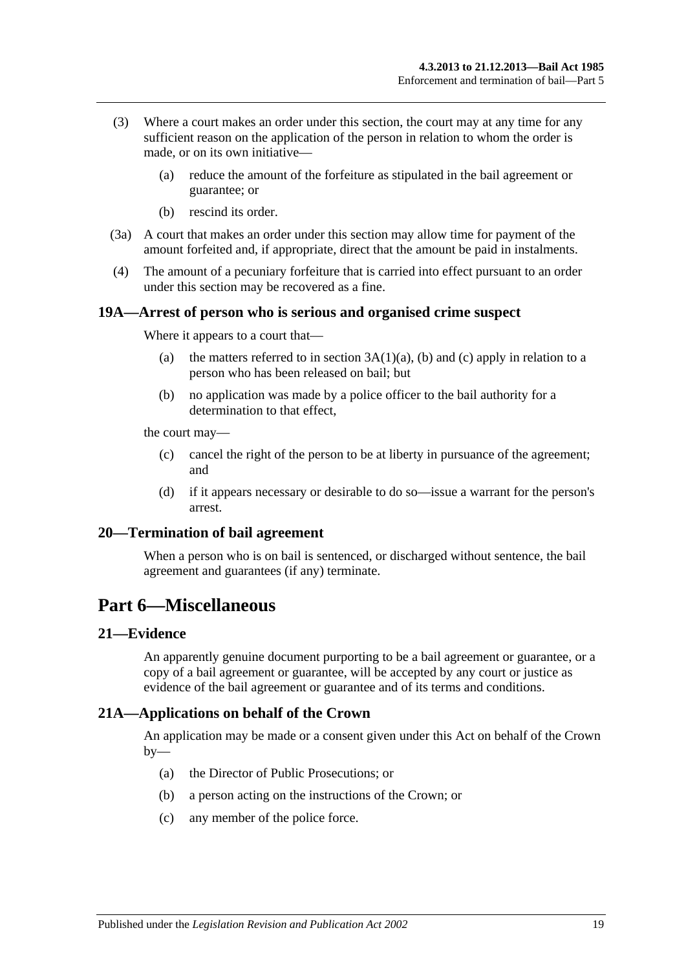- (3) Where a court makes an order under this section, the court may at any time for any sufficient reason on the application of the person in relation to whom the order is made, or on its own initiative—
	- (a) reduce the amount of the forfeiture as stipulated in the bail agreement or guarantee; or
	- (b) rescind its order.
- (3a) A court that makes an order under this section may allow time for payment of the amount forfeited and, if appropriate, direct that the amount be paid in instalments.
- (4) The amount of a pecuniary forfeiture that is carried into effect pursuant to an order under this section may be recovered as a fine.

### <span id="page-18-0"></span>**19A—Arrest of person who is serious and organised crime suspect**

Where it appears to a court that—

- (a) the matters referred to in section  $3A(1)(a)$ , [\(b\)](#page-2-2) and [\(c\)](#page-2-3) apply in relation to a person who has been released on bail; but
- (b) no application was made by a police officer to the bail authority for a determination to that effect,

the court may—

- (c) cancel the right of the person to be at liberty in pursuance of the agreement; and
- (d) if it appears necessary or desirable to do so—issue a warrant for the person's arrest.

### <span id="page-18-1"></span>**20—Termination of bail agreement**

When a person who is on bail is sentenced, or discharged without sentence, the bail agreement and guarantees (if any) terminate.

## <span id="page-18-2"></span>**Part 6—Miscellaneous**

#### <span id="page-18-3"></span>**21—Evidence**

An apparently genuine document purporting to be a bail agreement or guarantee, or a copy of a bail agreement or guarantee, will be accepted by any court or justice as evidence of the bail agreement or guarantee and of its terms and conditions.

### <span id="page-18-4"></span>**21A—Applications on behalf of the Crown**

An application may be made or a consent given under this Act on behalf of the Crown  $by-$ 

- (a) the Director of Public Prosecutions; or
- (b) a person acting on the instructions of the Crown; or
- (c) any member of the police force.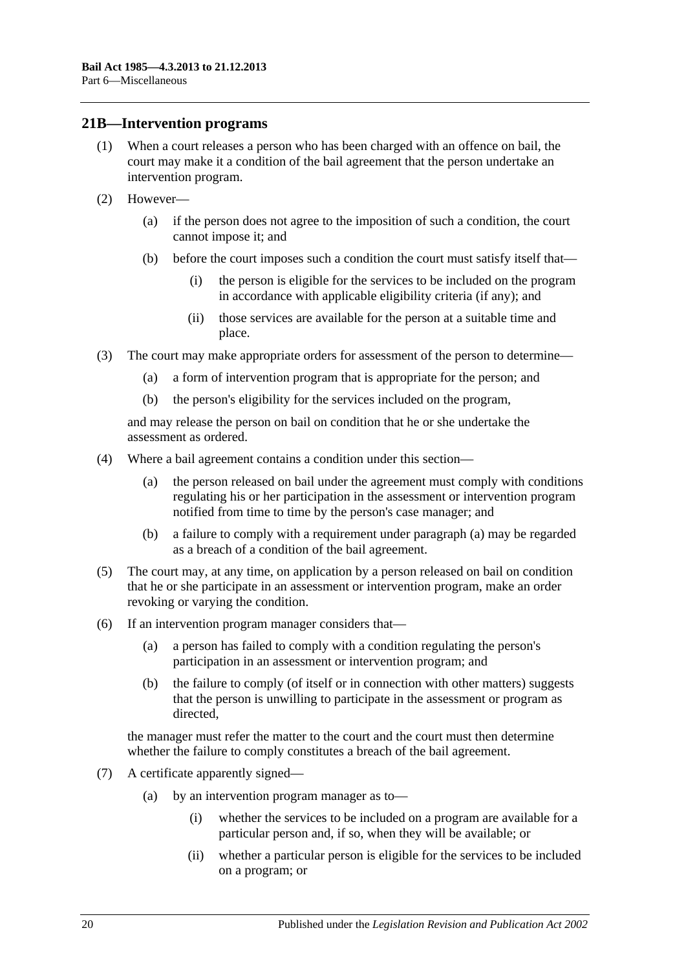### <span id="page-19-0"></span>**21B—Intervention programs**

- (1) When a court releases a person who has been charged with an offence on bail, the court may make it a condition of the bail agreement that the person undertake an intervention program.
- (2) However—
	- (a) if the person does not agree to the imposition of such a condition, the court cannot impose it; and
	- (b) before the court imposes such a condition the court must satisfy itself that—
		- (i) the person is eligible for the services to be included on the program in accordance with applicable eligibility criteria (if any); and
		- (ii) those services are available for the person at a suitable time and place.
- (3) The court may make appropriate orders for assessment of the person to determine—
	- (a) a form of intervention program that is appropriate for the person; and
	- (b) the person's eligibility for the services included on the program,

and may release the person on bail on condition that he or she undertake the assessment as ordered.

- <span id="page-19-1"></span>(4) Where a bail agreement contains a condition under this section—
	- (a) the person released on bail under the agreement must comply with conditions regulating his or her participation in the assessment or intervention program notified from time to time by the person's case manager; and
	- (b) a failure to comply with a requirement under [paragraph](#page-19-1) (a) may be regarded as a breach of a condition of the bail agreement.
- (5) The court may, at any time, on application by a person released on bail on condition that he or she participate in an assessment or intervention program, make an order revoking or varying the condition.
- (6) If an intervention program manager considers that—
	- (a) a person has failed to comply with a condition regulating the person's participation in an assessment or intervention program; and
	- (b) the failure to comply (of itself or in connection with other matters) suggests that the person is unwilling to participate in the assessment or program as directed,

the manager must refer the matter to the court and the court must then determine whether the failure to comply constitutes a breach of the bail agreement.

- (7) A certificate apparently signed—
	- (a) by an intervention program manager as to—
		- (i) whether the services to be included on a program are available for a particular person and, if so, when they will be available; or
		- (ii) whether a particular person is eligible for the services to be included on a program; or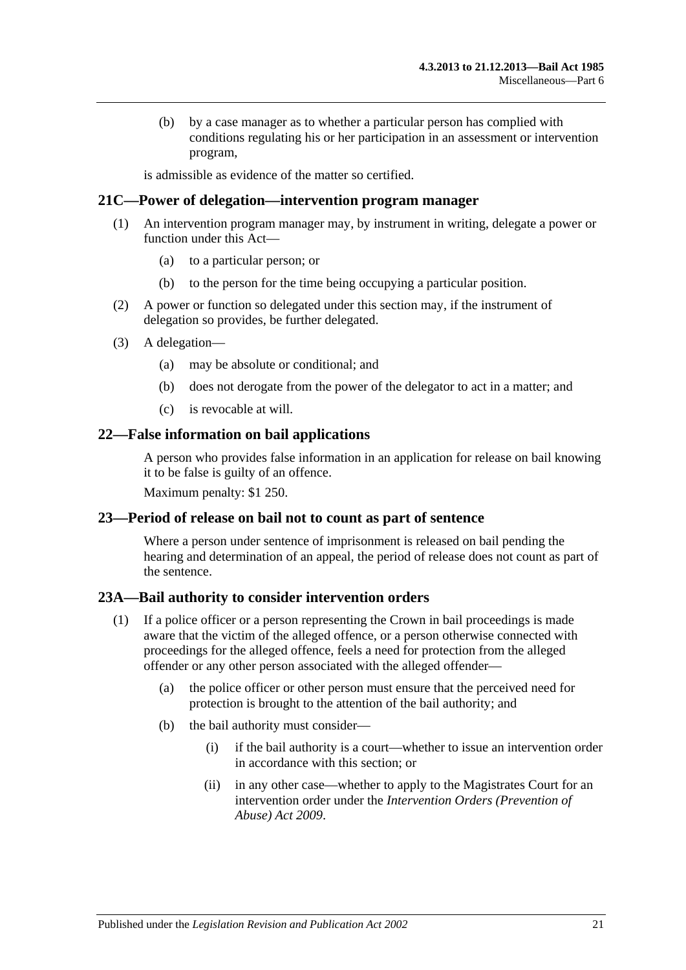(b) by a case manager as to whether a particular person has complied with conditions regulating his or her participation in an assessment or intervention program,

is admissible as evidence of the matter so certified.

### <span id="page-20-0"></span>**21C—Power of delegation—intervention program manager**

- (1) An intervention program manager may, by instrument in writing, delegate a power or function under this Act—
	- (a) to a particular person; or
	- (b) to the person for the time being occupying a particular position.
- (2) A power or function so delegated under this section may, if the instrument of delegation so provides, be further delegated.
- (3) A delegation—
	- (a) may be absolute or conditional; and
	- (b) does not derogate from the power of the delegator to act in a matter; and
	- (c) is revocable at will.

### <span id="page-20-1"></span>**22—False information on bail applications**

A person who provides false information in an application for release on bail knowing it to be false is guilty of an offence.

Maximum penalty: \$1 250.

### <span id="page-20-2"></span>**23—Period of release on bail not to count as part of sentence**

Where a person under sentence of imprisonment is released on bail pending the hearing and determination of an appeal, the period of release does not count as part of the sentence.

## <span id="page-20-3"></span>**23A—Bail authority to consider intervention orders**

- (1) If a police officer or a person representing the Crown in bail proceedings is made aware that the victim of the alleged offence, or a person otherwise connected with proceedings for the alleged offence, feels a need for protection from the alleged offender or any other person associated with the alleged offender—
	- (a) the police officer or other person must ensure that the perceived need for protection is brought to the attention of the bail authority; and
	- (b) the bail authority must consider—
		- (i) if the bail authority is a court—whether to issue an intervention order in accordance with this section; or
		- (ii) in any other case—whether to apply to the Magistrates Court for an intervention order under the *[Intervention Orders \(Prevention of](http://www.legislation.sa.gov.au/index.aspx?action=legref&type=act&legtitle=Intervention%20Orders%20(Prevention%20of%20Abuse)%20Act%202009)  [Abuse\) Act](http://www.legislation.sa.gov.au/index.aspx?action=legref&type=act&legtitle=Intervention%20Orders%20(Prevention%20of%20Abuse)%20Act%202009) 2009*.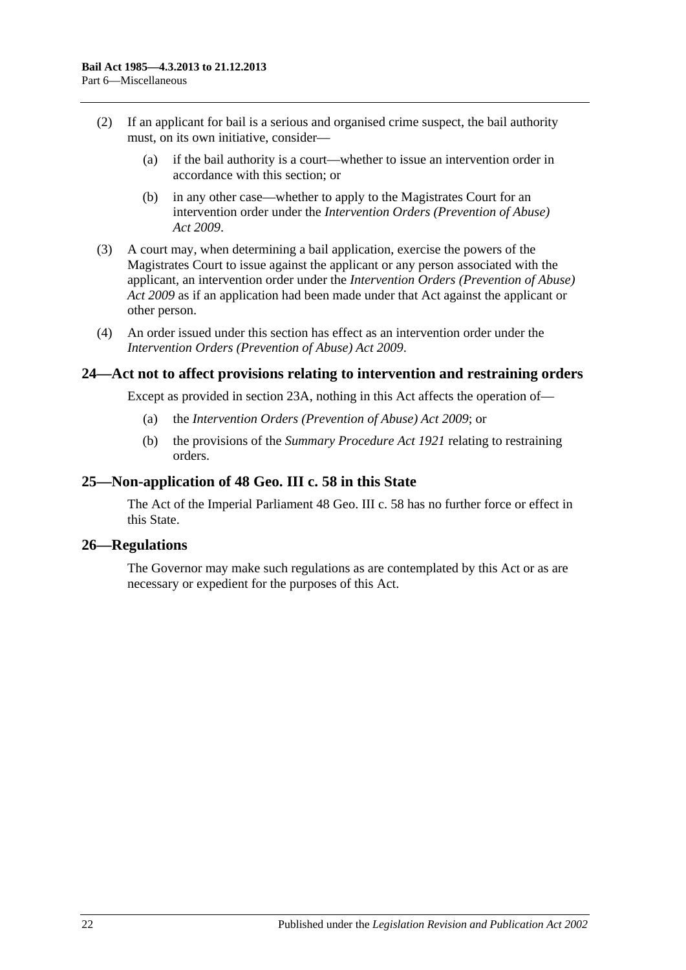- (2) If an applicant for bail is a serious and organised crime suspect, the bail authority must, on its own initiative, consider—
	- (a) if the bail authority is a court—whether to issue an intervention order in accordance with this section; or
	- (b) in any other case—whether to apply to the Magistrates Court for an intervention order under the *[Intervention Orders \(Prevention of Abuse\)](http://www.legislation.sa.gov.au/index.aspx?action=legref&type=act&legtitle=Intervention%20Orders%20(Prevention%20of%20Abuse)%20Act%202009)  Act [2009](http://www.legislation.sa.gov.au/index.aspx?action=legref&type=act&legtitle=Intervention%20Orders%20(Prevention%20of%20Abuse)%20Act%202009)*.
- (3) A court may, when determining a bail application, exercise the powers of the Magistrates Court to issue against the applicant or any person associated with the applicant, an intervention order under the *[Intervention Orders \(Prevention of Abuse\)](http://www.legislation.sa.gov.au/index.aspx?action=legref&type=act&legtitle=Intervention%20Orders%20(Prevention%20of%20Abuse)%20Act%202009)  Act [2009](http://www.legislation.sa.gov.au/index.aspx?action=legref&type=act&legtitle=Intervention%20Orders%20(Prevention%20of%20Abuse)%20Act%202009)* as if an application had been made under that Act against the applicant or other person.
- (4) An order issued under this section has effect as an intervention order under the *[Intervention Orders \(Prevention of Abuse\) Act](http://www.legislation.sa.gov.au/index.aspx?action=legref&type=act&legtitle=Intervention%20Orders%20(Prevention%20of%20Abuse)%20Act%202009) 2009*.

## <span id="page-21-0"></span>**24—Act not to affect provisions relating to intervention and restraining orders**

Except as provided in [section](#page-20-3) 23A, nothing in this Act affects the operation of—

- (a) the *[Intervention Orders \(Prevention of Abuse\) Act](http://www.legislation.sa.gov.au/index.aspx?action=legref&type=act&legtitle=Intervention%20Orders%20(Prevention%20of%20Abuse)%20Act%202009) 2009*; or
- (b) the provisions of the *[Summary Procedure Act](http://www.legislation.sa.gov.au/index.aspx?action=legref&type=act&legtitle=Summary%20Procedure%20Act%201921) 1921* relating to restraining orders.

### <span id="page-21-1"></span>**25—Non-application of 48 Geo. III c. 58 in this State**

The Act of the Imperial Parliament 48 Geo. III c. 58 has no further force or effect in this State.

### <span id="page-21-2"></span>**26—Regulations**

The Governor may make such regulations as are contemplated by this Act or as are necessary or expedient for the purposes of this Act.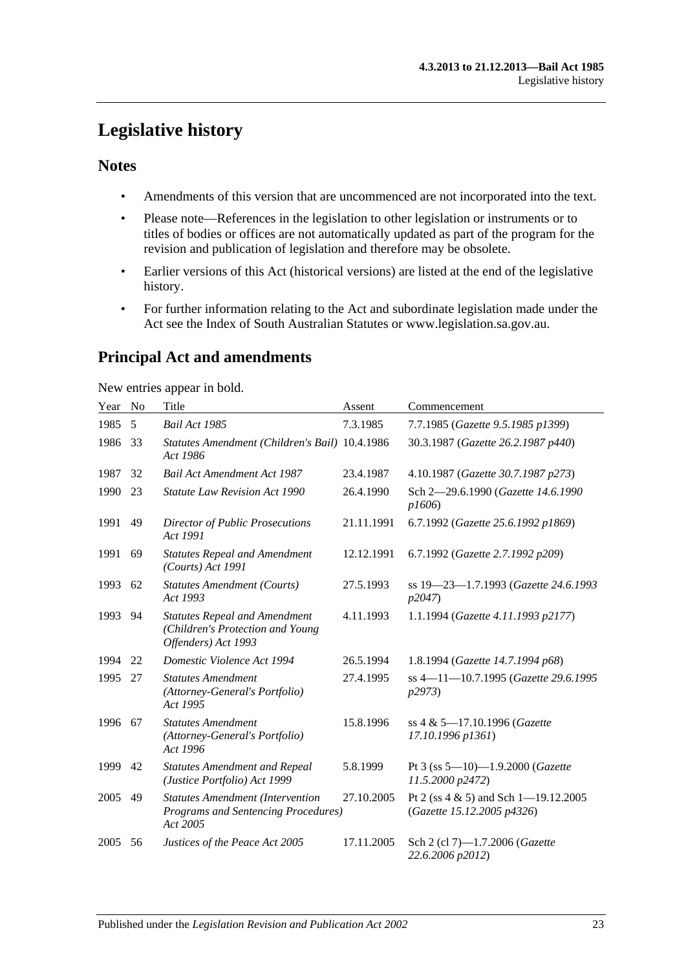## <span id="page-22-0"></span>**Legislative history**

## **Notes**

- Amendments of this version that are uncommenced are not incorporated into the text.
- Please note—References in the legislation to other legislation or instruments or to titles of bodies or offices are not automatically updated as part of the program for the revision and publication of legislation and therefore may be obsolete.
- Earlier versions of this Act (historical versions) are listed at the end of the legislative history.
- For further information relating to the Act and subordinate legislation made under the Act see the Index of South Australian Statutes or www.legislation.sa.gov.au.

## **Principal Act and amendments**

New entries appear in bold.

| Year | No | Title                                                                                             | Assent     | Commencement                                                           |
|------|----|---------------------------------------------------------------------------------------------------|------------|------------------------------------------------------------------------|
| 1985 | 5  | Bail Act 1985                                                                                     | 7.3.1985   | 7.7.1985 (Gazette 9.5.1985 p1399)                                      |
| 1986 | 33 | Statutes Amendment (Children's Bail) 10.4.1986<br>Act 1986                                        |            | 30.3.1987 (Gazette 26.2.1987 p440)                                     |
| 1987 | 32 | <b>Bail Act Amendment Act 1987</b>                                                                | 23.4.1987  | 4.10.1987 (Gazette 30.7.1987 p273)                                     |
| 1990 | 23 | <b>Statute Law Revision Act 1990</b>                                                              | 26.4.1990  | Sch 2-29.6.1990 (Gazette 14.6.1990<br>p1606                            |
| 1991 | 49 | <b>Director of Public Prosecutions</b><br>Act 1991                                                | 21.11.1991 | 6.7.1992 (Gazette 25.6.1992 p1869)                                     |
| 1991 | 69 | <b>Statutes Repeal and Amendment</b><br>(Courts) Act 1991                                         | 12.12.1991 | 6.7.1992 (Gazette 2.7.1992 p209)                                       |
| 1993 | 62 | <b>Statutes Amendment (Courts)</b><br>Act 1993                                                    | 27.5.1993  | ss 19-23-1.7.1993 (Gazette 24.6.1993<br>p2047)                         |
| 1993 | 94 | <b>Statutes Repeal and Amendment</b><br>(Children's Protection and Young<br>Offenders) Act 1993   | 4.11.1993  | 1.1.1994 (Gazette 4.11.1993 p2177)                                     |
| 1994 | 22 | Domestic Violence Act 1994                                                                        | 26.5.1994  | 1.8.1994 (Gazette 14.7.1994 p68)                                       |
| 1995 | 27 | <b>Statutes Amendment</b><br>(Attorney-General's Portfolio)<br>Act 1995                           | 27.4.1995  | ss 4-11-10.7.1995 (Gazette 29.6.1995<br>p2973)                         |
| 1996 | 67 | <b>Statutes Amendment</b><br>(Attorney-General's Portfolio)<br>Act 1996                           | 15.8.1996  | ss 4 & 5-17.10.1996 (Gazette<br>17.10.1996 p1361)                      |
| 1999 | 42 | <b>Statutes Amendment and Repeal</b><br>(Justice Portfolio) Act 1999                              | 5.8.1999   | Pt 3 (ss $5-10$ )-1.9.2000 (Gazette<br>11.5.2000 p2472)                |
| 2005 | 49 | <b>Statutes Amendment (Intervention</b><br><b>Programs and Sentencing Procedures)</b><br>Act 2005 | 27.10.2005 | Pt 2 (ss $4 \& 5$ ) and Sch 1-19.12.2005<br>(Gazette 15.12.2005 p4326) |
| 2005 | 56 | Justices of the Peace Act 2005                                                                    | 17.11.2005 | Sch 2 (cl 7)-1.7.2006 (Gazette<br>22.6.2006 p2012)                     |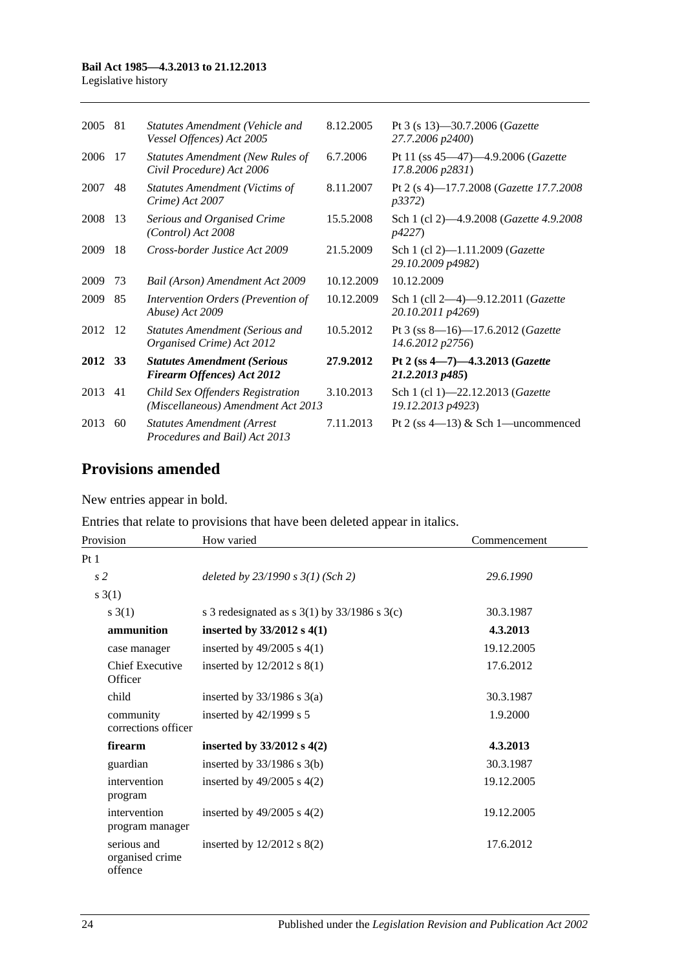#### **Bail Act 1985—4.3.2013 to 21.12.2013**

Legislative history

| 2005    | 81  | <b>Statutes Amendment (Vehicle and</b><br>Vessel Offences) Act 2005    | 8.12.2005  | Pt 3 (s 13)-30.7.2006 (Gazette<br>27.7.2006 p2400)         |
|---------|-----|------------------------------------------------------------------------|------------|------------------------------------------------------------|
| 2006    | 17  | <b>Statutes Amendment (New Rules of</b><br>Civil Procedure) Act 2006   | 6.7.2006   | Pt 11 (ss 45–47)–4.9.2006 (Gazette<br>17.8.2006 p2831)     |
| 2007    | 48  | <b>Statutes Amendment (Victims of</b><br>Crime) Act 2007               | 8.11.2007  | Pt 2 (s 4)-17.7.2008 (Gazette 17.7.2008)<br><i>p3372</i> ) |
| 2008    | -13 | Serious and Organised Crime<br>(Control) Act 2008                      | 15.5.2008  | Sch 1 (cl 2)-4.9.2008 (Gazette 4.9.2008)<br><i>p4227</i> ) |
| 2009    | 18  | Cross-border Justice Act 2009                                          | 21.5.2009  | Sch 1 (cl 2)-1.11.2009 (Gazette<br>29.10.2009 p4982)       |
| 2009    | 73  | Bail (Arson) Amendment Act 2009                                        | 10.12.2009 | 10.12.2009                                                 |
| 2009    | 85  | Intervention Orders (Prevention of<br>Abuse) Act 2009                  | 10.12.2009 | Sch 1 (cll 2-4)-9.12.2011 (Gazette<br>20.10.2011 p4269)    |
| 2012    | 12  | <b>Statutes Amendment (Serious and</b><br>Organised Crime) Act 2012    | 10.5.2012  | Pt 3 (ss 8-16)-17.6.2012 (Gazette<br>14.6.2012 p2756)      |
| 2012 33 |     | <b>Statutes Amendment (Serious</b><br>Firearm Offences) Act 2012       | 27.9.2012  | Pt 2 (ss $4 - 7$ ) $-4.3.2013$ (Gazette<br>21.2.2013 p485) |
| 2013    | 41  | Child Sex Offenders Registration<br>(Miscellaneous) Amendment Act 2013 | 3.10.2013  | Sch 1 (cl 1)-22.12.2013 (Gazette<br>19.12.2013 p4923)      |
| 2013    | 60  | <b>Statutes Amendment (Arrest</b><br>Procedures and Bail) Act 2013     | 7.11.2013  | Pt 2 (ss $4-13$ ) & Sch 1-uncommenced                      |

## **Provisions amended**

New entries appear in bold.

Entries that relate to provisions that have been deleted appear in italics.

| Provision                                 | How varied                                         | Commencement |
|-------------------------------------------|----------------------------------------------------|--------------|
| Pt1                                       |                                                    |              |
| s <sub>2</sub>                            | deleted by $23/1990 s 3(1)$ (Sch 2)                | 29.6.1990    |
| s(3(1))                                   |                                                    |              |
| s(3(1))                                   | s 3 redesignated as s $3(1)$ by $33/1986$ s $3(c)$ | 30.3.1987    |
| ammunition                                | inserted by $33/2012$ s 4(1)                       | 4.3.2013     |
| case manager                              | inserted by $49/2005$ s $4(1)$                     | 19.12.2005   |
| Chief Executive<br>Officer                | inserted by $12/2012$ s $8(1)$                     | 17.6.2012    |
| child                                     | inserted by $33/1986$ s $3(a)$                     | 30.3.1987    |
| community<br>corrections officer          | inserted by $42/1999$ s 5                          | 1.9.2000     |
| firearm                                   | inserted by $33/2012$ s 4(2)                       | 4.3.2013     |
| guardian                                  | inserted by $33/1986$ s $3(b)$                     | 30.3.1987    |
| intervention<br>program                   | inserted by $49/2005$ s $4(2)$                     | 19.12.2005   |
| intervention<br>program manager           | inserted by $49/2005$ s $4(2)$                     | 19.12.2005   |
| serious and<br>organised crime<br>offence | inserted by $12/2012$ s $8(2)$                     | 17.6.2012    |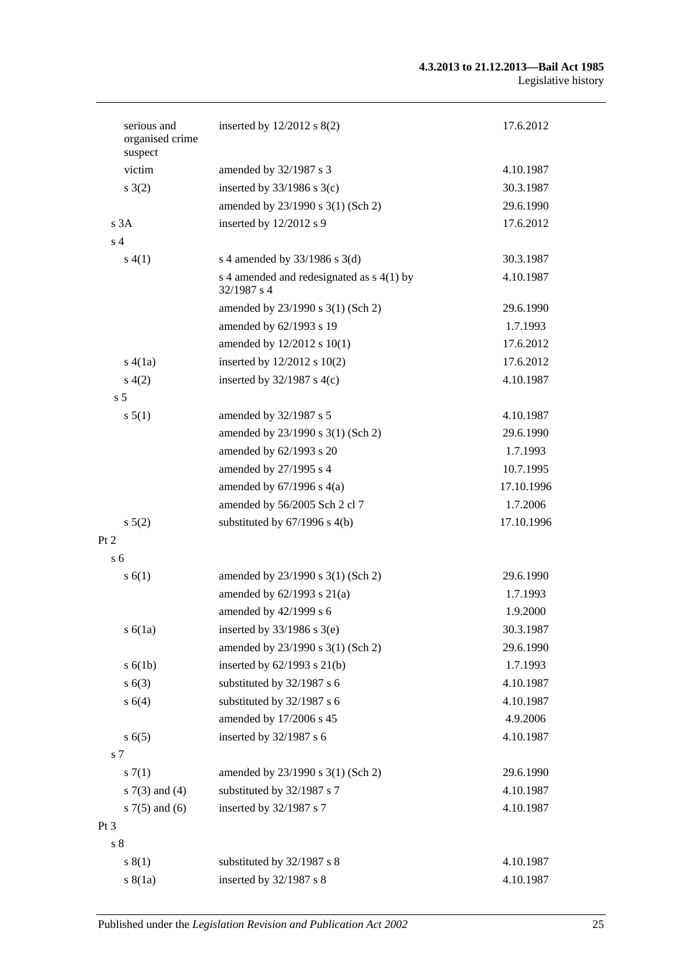#### **4.3.2013 to 21.12.2013—Bail Act 1985** Legislative history

| serious and<br>organised crime<br>suspect | inserted by $12/2012$ s $8(2)$                             | 17.6.2012  |
|-------------------------------------------|------------------------------------------------------------|------------|
| victim                                    | amended by 32/1987 s 3                                     | 4.10.1987  |
| s(2)                                      | inserted by $33/1986$ s $3(c)$                             | 30.3.1987  |
|                                           | amended by 23/1990 s 3(1) (Sch 2)                          | 29.6.1990  |
| s <sup>3</sup> A                          | inserted by 12/2012 s 9                                    | 17.6.2012  |
| s <sub>4</sub>                            |                                                            |            |
| s(4(1))                                   | s 4 amended by $33/1986$ s 3(d)                            | 30.3.1987  |
|                                           | s 4 amended and redesignated as $s$ 4(1) by<br>32/1987 s 4 | 4.10.1987  |
|                                           | amended by 23/1990 s 3(1) (Sch 2)                          | 29.6.1990  |
|                                           | amended by 62/1993 s 19                                    | 1.7.1993   |
|                                           | amended by 12/2012 s 10(1)                                 | 17.6.2012  |
| s(4(1a))                                  | inserted by 12/2012 s 10(2)                                | 17.6.2012  |
| s(4(2)                                    | inserted by $32/1987$ s 4(c)                               | 4.10.1987  |
| s <sub>5</sub>                            |                                                            |            |
| s 5(1)                                    | amended by 32/1987 s 5                                     | 4.10.1987  |
|                                           | amended by 23/1990 s 3(1) (Sch 2)                          | 29.6.1990  |
|                                           | amended by 62/1993 s 20                                    | 1.7.1993   |
|                                           | amended by 27/1995 s 4                                     | 10.7.1995  |
|                                           | amended by $67/1996$ s $4(a)$                              | 17.10.1996 |
|                                           | amended by 56/2005 Sch 2 cl 7                              | 1.7.2006   |
| s 5(2)                                    | substituted by $67/1996$ s $4(b)$                          | 17.10.1996 |
| Pt 2                                      |                                                            |            |
| s <sub>6</sub>                            |                                                            |            |
| s(6(1))                                   | amended by 23/1990 s 3(1) (Sch 2)                          | 29.6.1990  |
|                                           | amended by $62/1993$ s $21(a)$                             | 1.7.1993   |
|                                           | amended by 42/1999 s 6                                     | 1.9.2000   |
| s(6(1a))                                  | inserted by $33/1986$ s $3(e)$                             | 30.3.1987  |
|                                           | amended by 23/1990 s 3(1) (Sch 2)                          | 29.6.1990  |
| s(6(1b))                                  | inserted by $62/1993$ s $21(b)$                            | 1.7.1993   |
| s(6(3))                                   | substituted by 32/1987 s 6                                 | 4.10.1987  |
| s 6(4)                                    | substituted by 32/1987 s 6                                 | 4.10.1987  |
|                                           | amended by 17/2006 s 45                                    | 4.9.2006   |
| s(6(5)                                    | inserted by 32/1987 s 6                                    | 4.10.1987  |
| s 7                                       |                                                            |            |
| s(7(1)                                    | amended by 23/1990 s 3(1) (Sch 2)                          | 29.6.1990  |
| s $7(3)$ and $(4)$                        | substituted by 32/1987 s 7                                 | 4.10.1987  |
| s $7(5)$ and $(6)$                        | inserted by 32/1987 s 7                                    | 4.10.1987  |
| Pt <sub>3</sub>                           |                                                            |            |
| s <sub>8</sub>                            |                                                            |            |
| s(1)                                      | substituted by 32/1987 s 8                                 | 4.10.1987  |
| s(8(1a))                                  | inserted by 32/1987 s 8                                    | 4.10.1987  |
|                                           |                                                            |            |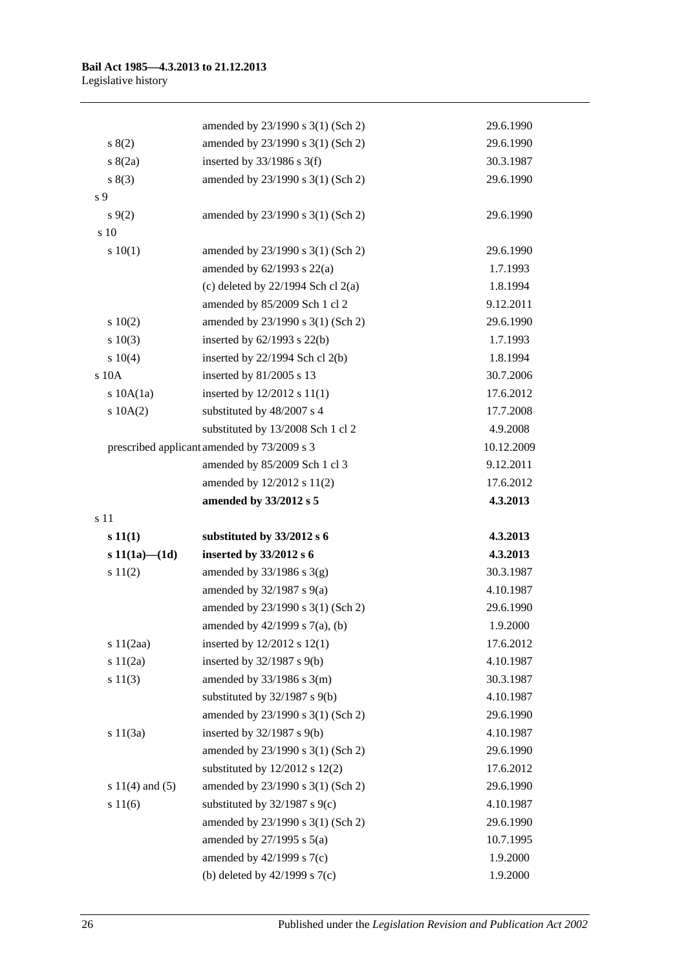|                     | amended by 23/1990 s 3(1) (Sch 2)                                  | 29.6.1990            |
|---------------------|--------------------------------------------------------------------|----------------------|
| 8(2)                | amended by 23/1990 s 3(1) (Sch 2)                                  | 29.6.1990            |
| s(2a)               | inserted by $33/1986$ s 3(f)                                       | 30.3.1987            |
| s(3)                | amended by 23/1990 s 3(1) (Sch 2)                                  | 29.6.1990            |
| s 9                 |                                                                    |                      |
| $s \, 9(2)$         | amended by 23/1990 s 3(1) (Sch 2)                                  | 29.6.1990            |
| s 10                |                                                                    |                      |
| 10(1)               | amended by 23/1990 s 3(1) (Sch 2)                                  | 29.6.1990            |
|                     | amended by $62/1993$ s $22(a)$                                     | 1.7.1993             |
|                     | (c) deleted by $22/1994$ Sch cl $2(a)$                             | 1.8.1994             |
|                     | amended by 85/2009 Sch 1 cl 2                                      | 9.12.2011            |
| 10(2)               | amended by 23/1990 s 3(1) (Sch 2)                                  | 29.6.1990            |
| 10(3)               | inserted by $62/1993$ s $22(b)$                                    | 1.7.1993             |
| 10(4)               | inserted by $22/1994$ Sch cl $2(b)$                                | 1.8.1994             |
| s 10A               | inserted by 81/2005 s 13                                           | 30.7.2006            |
| s 10A(1a)           | inserted by 12/2012 s 11(1)                                        | 17.6.2012            |
| s 10A(2)            | substituted by 48/2007 s 4                                         | 17.7.2008            |
|                     | substituted by 13/2008 Sch 1 cl 2                                  | 4.9.2008             |
|                     | prescribed applicant amended by 73/2009 s 3                        | 10.12.2009           |
|                     | amended by 85/2009 Sch 1 cl 3                                      | 9.12.2011            |
|                     | amended by 12/2012 s 11(2)                                         | 17.6.2012            |
|                     | amended by 33/2012 s 5                                             | 4.3.2013             |
| s 11                |                                                                    |                      |
| s(11(1))            | substituted by 33/2012 s 6                                         | 4.3.2013             |
| s $11(1a) - (1d)$   | inserted by 33/2012 s 6                                            | 4.3.2013             |
| s 11(2)             | amended by $33/1986$ s $3(g)$                                      | 30.3.1987            |
|                     | amended by $32/1987$ s $9(a)$                                      | 4.10.1987            |
|                     | amended by 23/1990 s 3(1) (Sch 2)                                  | 29.6.1990            |
|                     | amended by $42/1999$ s $7(a)$ , (b)                                | 1.9.2000             |
| s 11(2aa)           | inserted by $12/2012$ s $12(1)$                                    | 17.6.2012            |
| s 11(2a)            | inserted by $32/1987$ s $9(b)$                                     | 4.10.1987            |
| s 11(3)             | amended by $33/1986$ s $3(m)$                                      | 30.3.1987            |
|                     | substituted by 32/1987 s 9(b)                                      | 4.10.1987            |
|                     | amended by 23/1990 s 3(1) (Sch 2)                                  | 29.6.1990            |
| s 11(3a)            | inserted by $32/1987$ s $9(b)$                                     | 4.10.1987            |
|                     | amended by 23/1990 s 3(1) (Sch 2)                                  | 29.6.1990            |
|                     | substituted by $12/2012$ s $12(2)$                                 | 17.6.2012            |
| s $11(4)$ and $(5)$ | amended by 23/1990 s 3(1) (Sch 2)                                  | 29.6.1990            |
| s 11(6)             |                                                                    | 4.10.1987            |
|                     | substituted by $32/1987$ s $9(c)$                                  |                      |
|                     | amended by 23/1990 s 3(1) (Sch 2)                                  | 29.6.1990            |
|                     | amended by $27/1995$ s $5(a)$                                      | 10.7.1995            |
|                     | amended by $42/1999$ s $7(c)$<br>(b) deleted by $42/1999$ s $7(c)$ | 1.9.2000<br>1.9.2000 |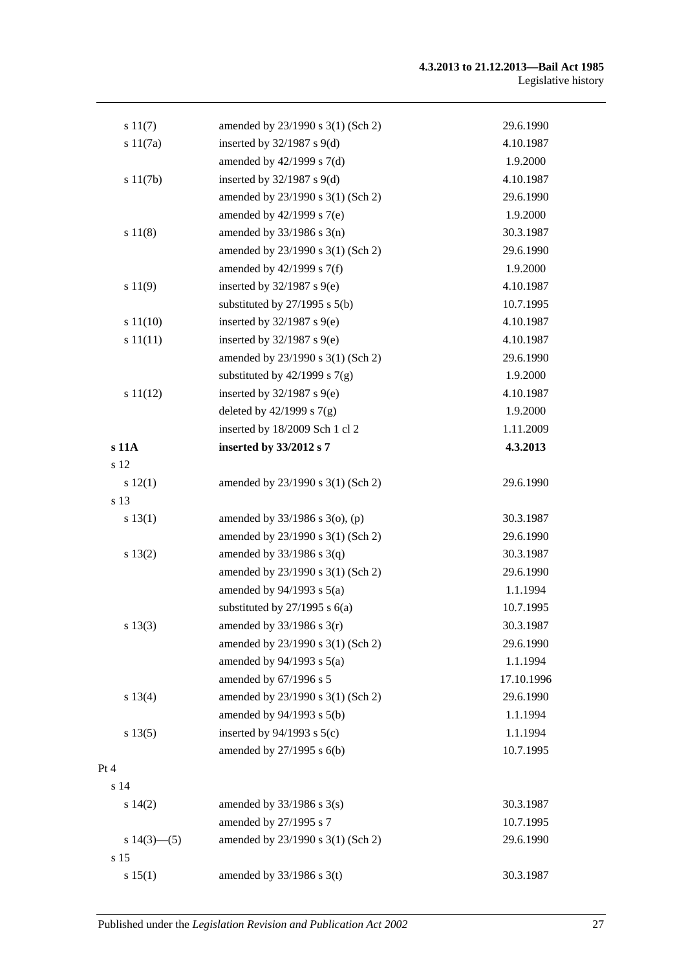#### **4.3.2013 to 21.12.2013—Bail Act 1985** Legislative history

| s 11(7)        | amended by 23/1990 s 3(1) (Sch 2) | 29.6.1990  |
|----------------|-----------------------------------|------------|
| s 11(7a)       | inserted by $32/1987$ s $9(d)$    | 4.10.1987  |
|                | amended by $42/1999$ s $7(d)$     | 1.9.2000   |
| s 11(7b)       | inserted by $32/1987$ s $9(d)$    | 4.10.1987  |
|                | amended by 23/1990 s 3(1) (Sch 2) | 29.6.1990  |
|                | amended by $42/1999$ s $7(e)$     | 1.9.2000   |
| s 11(8)        | amended by $33/1986$ s $3(n)$     | 30.3.1987  |
|                | amended by 23/1990 s 3(1) (Sch 2) | 29.6.1990  |
|                | amended by 42/1999 s 7(f)         | 1.9.2000   |
| s 11(9)        | inserted by $32/1987$ s $9(e)$    | 4.10.1987  |
|                | substituted by $27/1995$ s $5(b)$ | 10.7.1995  |
| s 11(10)       | inserted by $32/1987$ s $9(e)$    | 4.10.1987  |
| s 11(11)       | inserted by $32/1987$ s $9(e)$    | 4.10.1987  |
|                | amended by 23/1990 s 3(1) (Sch 2) | 29.6.1990  |
|                | substituted by $42/1999$ s $7(g)$ | 1.9.2000   |
| s 11(12)       | inserted by $32/1987$ s $9(e)$    | 4.10.1987  |
|                | deleted by $42/1999$ s $7(g)$     | 1.9.2000   |
|                | inserted by 18/2009 Sch 1 cl 2    | 1.11.2009  |
| s 11A          | inserted by 33/2012 s 7           | 4.3.2013   |
| s 12           |                                   |            |
| s 12(1)        | amended by 23/1990 s 3(1) (Sch 2) | 29.6.1990  |
| s 13           |                                   |            |
| s 13(1)        | amended by 33/1986 s 3(o), (p)    | 30.3.1987  |
|                | amended by 23/1990 s 3(1) (Sch 2) | 29.6.1990  |
| s 13(2)        | amended by $33/1986$ s $3(q)$     | 30.3.1987  |
|                | amended by 23/1990 s 3(1) (Sch 2) | 29.6.1990  |
|                | amended by $94/1993$ s $5(a)$     | 1.1.1994   |
|                | substituted by $27/1995$ s $6(a)$ | 10.7.1995  |
| s 13(3)        | amended by $33/1986$ s $3(r)$     | 30.3.1987  |
|                | amended by 23/1990 s 3(1) (Sch 2) | 29.6.1990  |
|                | amended by $94/1993$ s $5(a)$     | 1.1.1994   |
|                | amended by 67/1996 s 5            | 17.10.1996 |
| s 13(4)        | amended by 23/1990 s 3(1) (Sch 2) | 29.6.1990  |
|                | amended by 94/1993 s 5(b)         | 1.1.1994   |
| s 13(5)        | inserted by $94/1993$ s $5(c)$    | 1.1.1994   |
|                | amended by 27/1995 s 6(b)         | 10.7.1995  |
| Pt 4           |                                   |            |
| s 14           |                                   |            |
| s 14(2)        | amended by $33/1986$ s $3(s)$     | 30.3.1987  |
|                | amended by 27/1995 s 7            | 10.7.1995  |
| s $14(3)$ —(5) | amended by 23/1990 s 3(1) (Sch 2) | 29.6.1990  |
| s 15           |                                   |            |
| s 15(1)        | amended by $33/1986$ s 3(t)       | 30.3.1987  |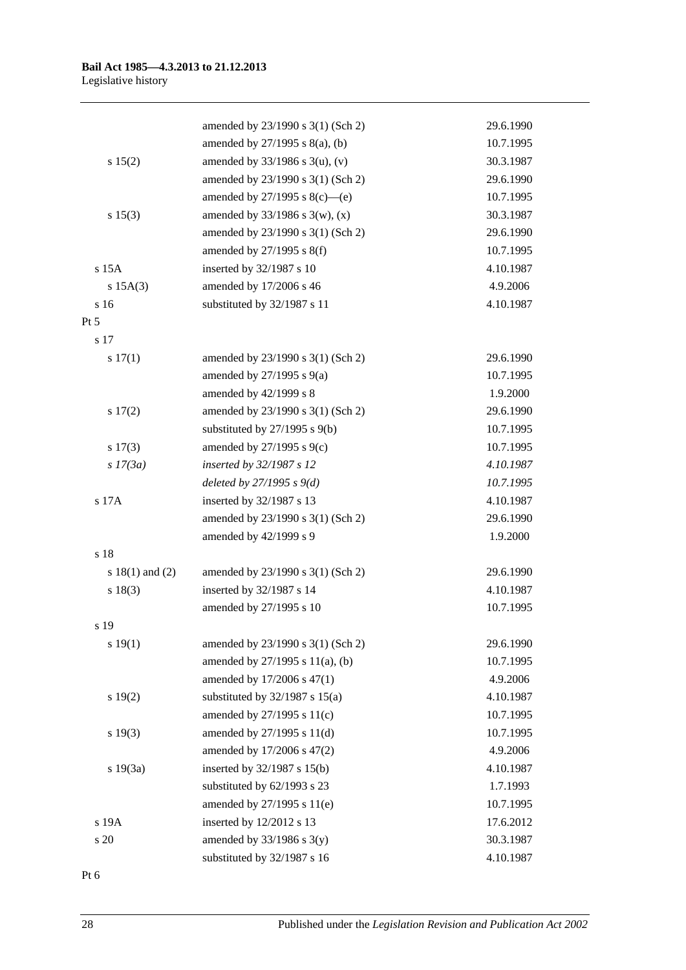|                     | amended by 23/1990 s 3(1) (Sch 2)   | 29.6.1990 |
|---------------------|-------------------------------------|-----------|
|                     | amended by $27/1995$ s $8(a)$ , (b) | 10.7.1995 |
| s 15(2)             | amended by $33/1986$ s 3(u), (v)    | 30.3.1987 |
|                     | amended by 23/1990 s 3(1) (Sch 2)   | 29.6.1990 |
|                     | amended by $27/1995$ s $8(c)$ —(e)  | 10.7.1995 |
| s 15(3)             | amended by $33/1986$ s 3(w), (x)    | 30.3.1987 |
|                     | amended by 23/1990 s 3(1) (Sch 2)   | 29.6.1990 |
|                     | amended by $27/1995$ s $8(f)$       | 10.7.1995 |
| $s$ 15 $A$          | inserted by 32/1987 s 10            | 4.10.1987 |
| s 15A(3)            | amended by 17/2006 s 46             | 4.9.2006  |
| s 16                | substituted by 32/1987 s 11         | 4.10.1987 |
| $Pt\,5$             |                                     |           |
| s 17                |                                     |           |
| 17(1)               | amended by 23/1990 s 3(1) (Sch 2)   | 29.6.1990 |
|                     | amended by $27/1995$ s $9(a)$       | 10.7.1995 |
|                     | amended by 42/1999 s 8              | 1.9.2000  |
| 17(2)               | amended by 23/1990 s 3(1) (Sch 2)   | 29.6.1990 |
|                     | substituted by $27/1995$ s $9(b)$   | 10.7.1995 |
| $s\ 17(3)$          | amended by 27/1995 s 9(c)           | 10.7.1995 |
| $s$ 17(3a)          | inserted by 32/1987 s 12            | 4.10.1987 |
|                     | deleted by $27/1995 s 9(d)$         | 10.7.1995 |
| s 17A               | inserted by 32/1987 s 13            | 4.10.1987 |
|                     | amended by 23/1990 s 3(1) (Sch 2)   | 29.6.1990 |
|                     | amended by 42/1999 s 9              | 1.9.2000  |
| s 18                |                                     |           |
| s $18(1)$ and $(2)$ | amended by 23/1990 s 3(1) (Sch 2)   | 29.6.1990 |
| s 18(3)             | inserted by 32/1987 s 14            | 4.10.1987 |
|                     | amended by 27/1995 s 10             | 10.7.1995 |
| s 19                |                                     |           |
| s 19(1)             | amended by 23/1990 s 3(1) (Sch 2)   | 29.6.1990 |
|                     | amended by 27/1995 s 11(a), (b)     | 10.7.1995 |
|                     | amended by 17/2006 s 47(1)          | 4.9.2006  |
| s 19(2)             | substituted by $32/1987$ s $15(a)$  | 4.10.1987 |
|                     | amended by 27/1995 s 11(c)          | 10.7.1995 |
| s 19(3)             | amended by 27/1995 s 11(d)          | 10.7.1995 |
|                     | amended by 17/2006 s 47(2)          | 4.9.2006  |
| s 19(3a)            | inserted by 32/1987 s 15(b)         | 4.10.1987 |
|                     | substituted by 62/1993 s 23         | 1.7.1993  |
|                     | amended by 27/1995 s 11(e)          | 10.7.1995 |
| s 19A               | inserted by 12/2012 s 13            | 17.6.2012 |
| s 20                | amended by $33/1986$ s $3(y)$       | 30.3.1987 |
|                     | substituted by 32/1987 s 16         | 4.10.1987 |

Pt 6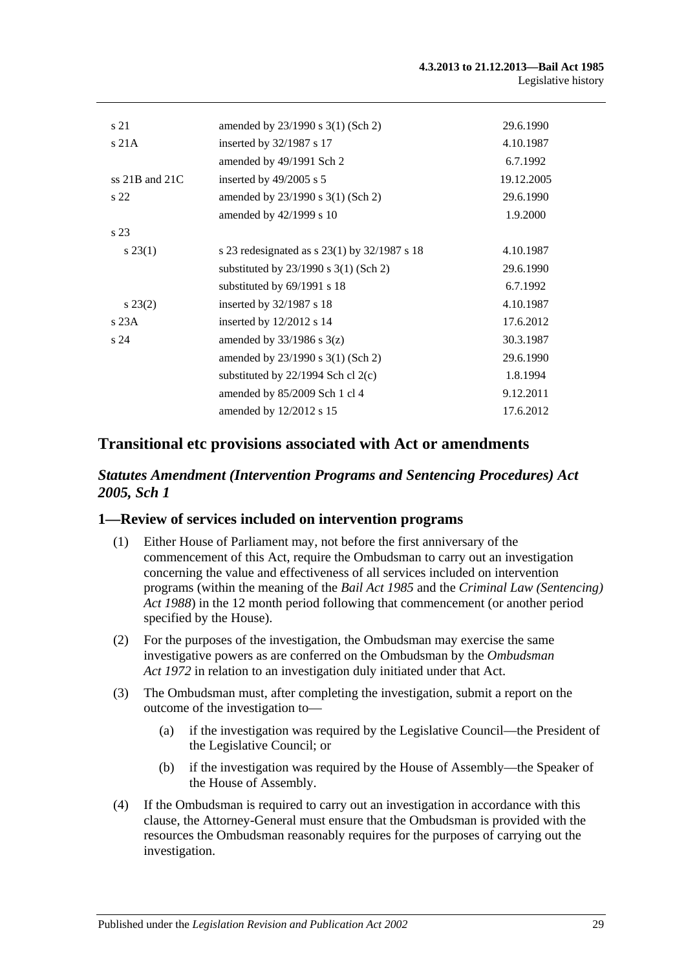| s 21               | amended by 23/1990 s 3(1) (Sch 2)              | 29.6.1990  |
|--------------------|------------------------------------------------|------------|
| s21A               | inserted by 32/1987 s 17                       | 4.10.1987  |
|                    | amended by 49/1991 Sch 2                       | 6.7.1992   |
| ss $21B$ and $21C$ | inserted by $49/2005$ s 5                      | 19.12.2005 |
| s <sub>22</sub>    | amended by $23/1990$ s $3(1)$ (Sch 2)          | 29.6.1990  |
|                    | amended by 42/1999 s 10                        | 1.9.2000   |
| s 23               |                                                |            |
| $s\,23(1)$         | s 23 redesignated as $s$ 23(1) by 32/1987 s 18 | 4.10.1987  |
|                    | substituted by $23/1990$ s $3(1)$ (Sch 2)      | 29.6.1990  |
|                    | substituted by 69/1991 s 18                    | 6.7.1992   |
| $s\,23(2)$         | inserted by $32/1987$ s 18                     | 4.10.1987  |
| s23A               | inserted by $12/2012$ s 14                     | 17.6.2012  |
| s24                | amended by $33/1986$ s $3(z)$                  | 30.3.1987  |
|                    | amended by $23/1990$ s $3(1)$ (Sch 2)          | 29.6.1990  |
|                    | substituted by $22/1994$ Sch cl $2(c)$         | 1.8.1994   |
|                    | amended by 85/2009 Sch 1 cl 4                  | 9.12.2011  |
|                    | amended by 12/2012 s 15                        | 17.6.2012  |
|                    |                                                |            |

## **Transitional etc provisions associated with Act or amendments**

## *Statutes Amendment (Intervention Programs and Sentencing Procedures) Act 2005, Sch 1*

### **1—Review of services included on intervention programs**

- (1) Either House of Parliament may, not before the first anniversary of the commencement of this Act, require the Ombudsman to carry out an investigation concerning the value and effectiveness of all services included on intervention programs (within the meaning of the *[Bail Act](http://www.legislation.sa.gov.au/index.aspx?action=legref&type=act&legtitle=Bail%20Act%201985) 1985* and the *[Criminal Law \(Sentencing\)](http://www.legislation.sa.gov.au/index.aspx?action=legref&type=act&legtitle=Criminal%20Law%20(Sentencing)%20Act%201988)  Act [1988](http://www.legislation.sa.gov.au/index.aspx?action=legref&type=act&legtitle=Criminal%20Law%20(Sentencing)%20Act%201988)*) in the 12 month period following that commencement (or another period specified by the House).
- (2) For the purposes of the investigation, the Ombudsman may exercise the same investigative powers as are conferred on the Ombudsman by the *[Ombudsman](http://www.legislation.sa.gov.au/index.aspx?action=legref&type=act&legtitle=Ombudsman%20Act%201972)  Act [1972](http://www.legislation.sa.gov.au/index.aspx?action=legref&type=act&legtitle=Ombudsman%20Act%201972)* in relation to an investigation duly initiated under that Act.
- (3) The Ombudsman must, after completing the investigation, submit a report on the outcome of the investigation to—
	- (a) if the investigation was required by the Legislative Council—the President of the Legislative Council; or
	- (b) if the investigation was required by the House of Assembly—the Speaker of the House of Assembly.
- (4) If the Ombudsman is required to carry out an investigation in accordance with this clause, the Attorney-General must ensure that the Ombudsman is provided with the resources the Ombudsman reasonably requires for the purposes of carrying out the investigation.